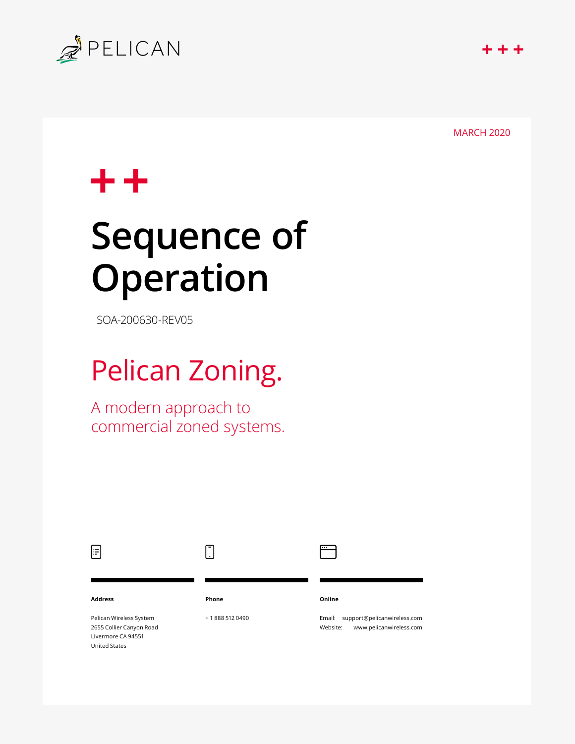

MARCH 2020

# $^{\mathrm{+}}$

# **Sequence of Operation**

SOA-200630-REV05

# Pelican Zoning.

A modern approach to commercial zoned systems.

| $\equiv$                                                                                          |              |                                                                              |
|---------------------------------------------------------------------------------------------------|--------------|------------------------------------------------------------------------------|
| <b>Address</b>                                                                                    | Phone        | Online                                                                       |
| Pelican Wireless System<br>2655 Collier Canyon Road<br>Livermore CA 94551<br><b>United States</b> | +18885120490 | support@pelicanwireless.com<br>Email:<br>www.pelicanwireless.com<br>Website: |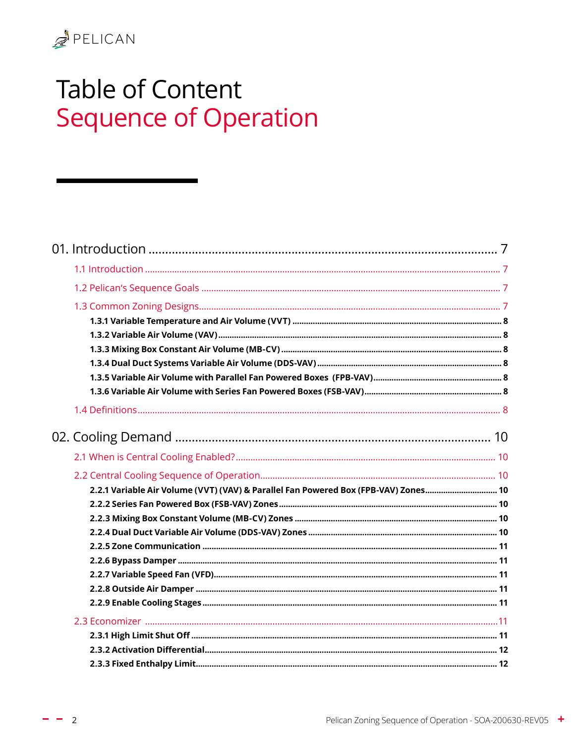# **Table of Content Sequence of Operation**

| 2.2.1 Variable Air Volume (VVT) (VAV) & Parallel Fan Powered Box (FPB-VAV) Zones 10 |  |
|-------------------------------------------------------------------------------------|--|
|                                                                                     |  |
|                                                                                     |  |
|                                                                                     |  |
|                                                                                     |  |
|                                                                                     |  |
|                                                                                     |  |
|                                                                                     |  |
|                                                                                     |  |
|                                                                                     |  |
|                                                                                     |  |
|                                                                                     |  |
|                                                                                     |  |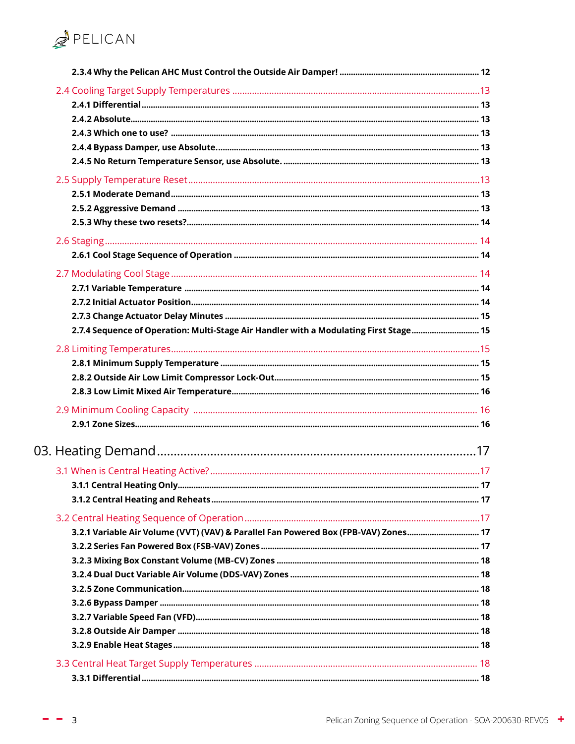

| 2.7.4 Sequence of Operation: Multi-Stage Air Handler with a Modulating First Stage 15 |  |
|---------------------------------------------------------------------------------------|--|
|                                                                                       |  |
|                                                                                       |  |
|                                                                                       |  |
|                                                                                       |  |
|                                                                                       |  |
|                                                                                       |  |
|                                                                                       |  |
|                                                                                       |  |
|                                                                                       |  |
|                                                                                       |  |
|                                                                                       |  |
|                                                                                       |  |
| 3.2.1 Variable Air Volume (VVT) (VAV) & Parallel Fan Powered Box (FPB-VAV) Zones      |  |
|                                                                                       |  |
|                                                                                       |  |
|                                                                                       |  |
|                                                                                       |  |
|                                                                                       |  |
|                                                                                       |  |
|                                                                                       |  |
|                                                                                       |  |
|                                                                                       |  |
|                                                                                       |  |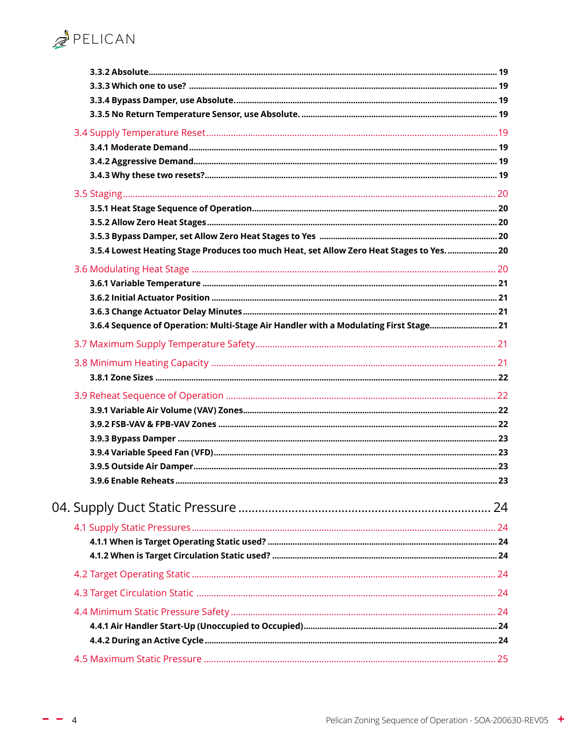| 3.5.4 Lowest Heating Stage Produces too much Heat, set Allow Zero Heat Stages to Yes 20 |  |
|-----------------------------------------------------------------------------------------|--|
|                                                                                         |  |
|                                                                                         |  |
|                                                                                         |  |
|                                                                                         |  |
| 3.6.4 Sequence of Operation: Multi-Stage Air Handler with a Modulating First Stage 21   |  |
|                                                                                         |  |
|                                                                                         |  |
|                                                                                         |  |
|                                                                                         |  |
|                                                                                         |  |
|                                                                                         |  |
|                                                                                         |  |
|                                                                                         |  |
|                                                                                         |  |
|                                                                                         |  |
|                                                                                         |  |
|                                                                                         |  |
|                                                                                         |  |
|                                                                                         |  |
|                                                                                         |  |
|                                                                                         |  |
|                                                                                         |  |
|                                                                                         |  |
|                                                                                         |  |
|                                                                                         |  |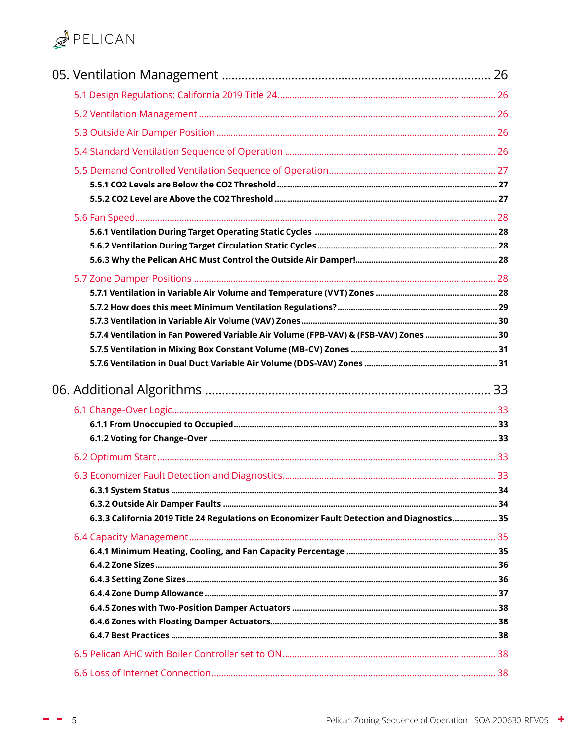| 5.7.4 Ventilation in Fan Powered Variable Air Volume (FPB-VAV) & (FSB-VAV) Zones  30        |  |
|---------------------------------------------------------------------------------------------|--|
|                                                                                             |  |
|                                                                                             |  |
|                                                                                             |  |
|                                                                                             |  |
|                                                                                             |  |
|                                                                                             |  |
|                                                                                             |  |
|                                                                                             |  |
|                                                                                             |  |
| 6.3.3 California 2019 Title 24 Regulations on Economizer Fault Detection and Diagnostics 35 |  |
|                                                                                             |  |
|                                                                                             |  |
|                                                                                             |  |
|                                                                                             |  |
|                                                                                             |  |
|                                                                                             |  |
|                                                                                             |  |
|                                                                                             |  |
|                                                                                             |  |

 $- - 5$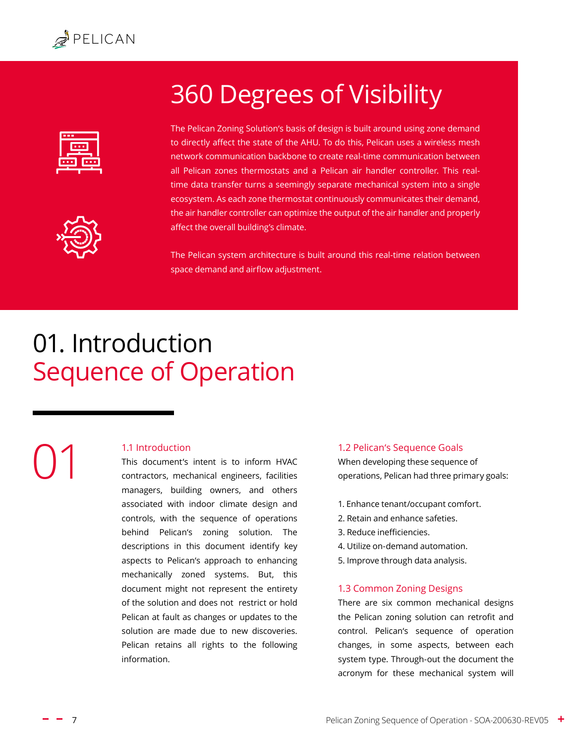<span id="page-6-0"></span>

# 360 Degrees of Visibility





The Pelican Zoning Solution's basis of design is built around using zone demand to directly affect the state of the AHU. To do this, Pelican uses a wireless mesh network communication backbone to create real-time communication between all Pelican zones thermostats and a Pelican air handler controller. This realtime data transfer turns a seemingly separate mechanical system into a single ecosystem. As each zone thermostat continuously communicates their demand, the air handler controller can optimize the output of the air handler and properly affect the overall building's climate.

The Pelican system architecture is built around this real-time relation between space demand and airflow adjustment.

# 01. Introduction Sequence of Operation

# 1.1 Introduction 01

This document's intent is to inform HVAC contractors, mechanical engineers, facilities managers, building owners, and others associated with indoor climate design and controls, with the sequence of operations behind Pelican's zoning solution. The descriptions in this document identify key aspects to Pelican's approach to enhancing mechanically zoned systems. But, this document might not represent the entirety of the solution and does not restrict or hold Pelican at fault as changes or updates to the solution are made due to new discoveries. Pelican retains all rights to the following information.

#### 1.2 Pelican's Sequence Goals

When developing these sequence of operations, Pelican had three primary goals:

- 1. Enhance tenant/occupant comfort.
- 2. Retain and enhance safeties.
- 3. Reduce inefficiencies.
- 4. Utilize on-demand automation.
- 5. Improve through data analysis.

#### <span id="page-6-1"></span>1.3 Common Zoning Designs

There are six common mechanical designs the Pelican zoning solution can retrofit and control. Pelican's sequence of operation changes, in some aspects, between each system type. Through-out the document the acronym for these mechanical system will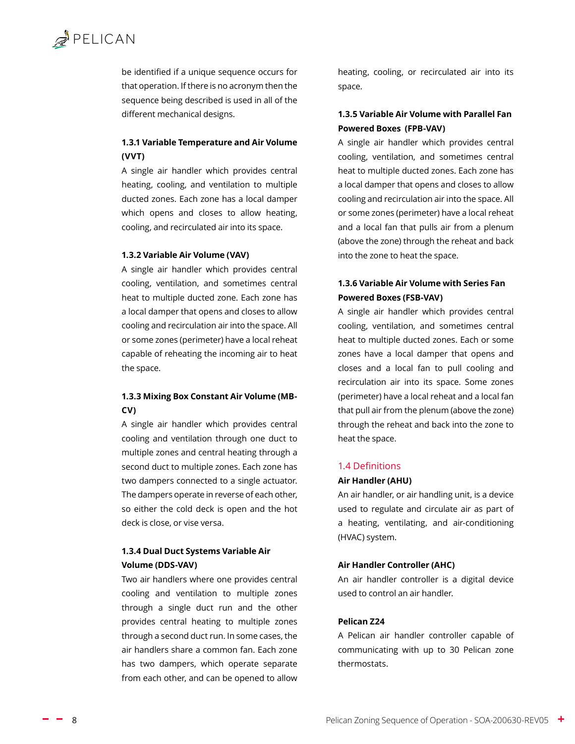<span id="page-7-0"></span>be identified if a unique sequence occurs for that operation. If there is no acronym then the sequence being described is used in all of the different mechanical designs.

#### **1.3.1 Variable Temperature and Air Volume (VVT)**

A single air handler which provides central heating, cooling, and ventilation to multiple ducted zones. Each zone has a local damper which opens and closes to allow heating, cooling, and recirculated air into its space.

#### **1.3.2 Variable Air Volume (VAV)**

A single air handler which provides central cooling, ventilation, and sometimes central heat to multiple ducted zone. Each zone has a local damper that opens and closes to allow cooling and recirculation air into the space. All or some zones (perimeter) have a local reheat capable of reheating the incoming air to heat the space.

#### **1.3.3 Mixing Box Constant Air Volume (MB-CV)**

A single air handler which provides central cooling and ventilation through one duct to multiple zones and central heating through a second duct to multiple zones. Each zone has two dampers connected to a single actuator. The dampers operate in reverse of each other, so either the cold deck is open and the hot deck is close, or vise versa.

#### **1.3.4 Dual Duct Systems Variable Air Volume (DDS-VAV)**

Two air handlers where one provides central cooling and ventilation to multiple zones through a single duct run and the other provides central heating to multiple zones through a second duct run. In some cases, the air handlers share a common fan. Each zone has two dampers, which operate separate from each other, and can be opened to allow

heating, cooling, or recirculated air into its space.

#### **1.3.5 Variable Air Volume with Parallel Fan Powered Boxes (FPB-VAV)**

A single air handler which provides central cooling, ventilation, and sometimes central heat to multiple ducted zones. Each zone has a local damper that opens and closes to allow cooling and recirculation air into the space. All or some zones (perimeter) have a local reheat and a local fan that pulls air from a plenum (above the zone) through the reheat and back into the zone to heat the space.

#### **1.3.6 Variable Air Volume with Series Fan Powered Boxes (FSB-VAV)**

A single air handler which provides central cooling, ventilation, and sometimes central heat to multiple ducted zones. Each or some zones have a local damper that opens and closes and a local fan to pull cooling and recirculation air into its space. Some zones (perimeter) have a local reheat and a local fan that pull air from the plenum (above the zone) through the reheat and back into the zone to heat the space.

#### 1.4 Definitions

#### **Air Handler (AHU)**

An air handler, or air handling unit, is a device used to regulate and circulate air as part of a heating, ventilating, and air-conditioning (HVAC) system.

#### **Air Handler Controller (AHC)**

An air handler controller is a digital device used to control an air handler.

#### **Pelican Z24**

A Pelican air handler controller capable of communicating with up to 30 Pelican zone thermostats.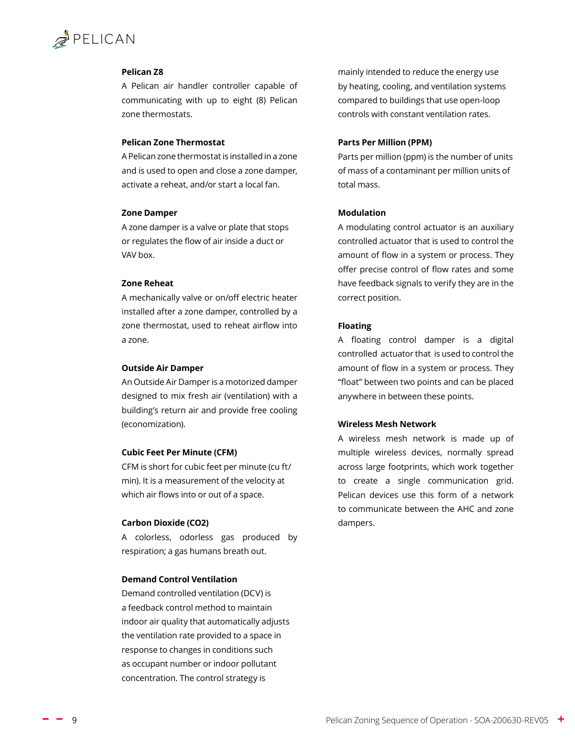# $\mathbb{Z}$  PELICAN

#### **Pelican Z8**

A Pelican air handler controller capable of communicating with up to eight (8) Pelican zone thermostats.

#### **Pelican Zone Thermostat**

A Pelican zone thermostat is installed in a zone and is used to open and close a zone damper, activate a reheat, and/or start a local fan.

#### **Zone Damper**

A zone damper is a valve or plate that stops or regulates the flow of air inside a duct or VAV box.

#### **Zone Reheat**

A mechanically valve or on/off electric heater installed after a zone damper, controlled by a zone thermostat, used to reheat airflow into a zone.

#### **Outside Air Damper**

An Outside Air Damper is a motorized damper designed to mix fresh air (ventilation) with a building's return air and provide free cooling (economization).

#### **Cubic Feet Per Minute (CFM)**

CFM is short for cubic feet per minute (cu ft/ min). It is a measurement of the velocity at which air flows into or out of a space.

#### **Carbon Dioxide (CO2)**

A colorless, odorless gas produced by respiration; a gas humans breath out.

#### **Demand Control Ventilation**

Demand controlled ventilation (DCV) is a feedback control method to maintain indoor air quality that automatically adjusts the ventilation rate provided to a space in response to changes in conditions such as occupant number or indoor pollutant concentration. The control strategy is

mainly intended to reduce the energy use by heating, cooling, and ventilation systems compared to buildings that use open-loop controls with constant ventilation rates.

#### **Parts Per Million (PPM)**

Parts per million (ppm) is the number of units of mass of a contaminant per million units of total mass.

#### **Modulation**

A modulating control actuator is an auxiliary controlled actuator that is used to control the amount of flow in a system or process. They offer precise control of flow rates and some have feedback signals to verify they are in the correct position.

#### **Floating**

A floating control damper is a digital controlled actuator that is used to control the amount of flow in a system or process. They "float" between two points and can be placed anywhere in between these points.

#### **Wireless Mesh Network**

A wireless mesh network is made up of multiple wireless devices, normally spread across large footprints, which work together to create a single communication grid. Pelican devices use this form of a network to communicate between the AHC and zone dampers.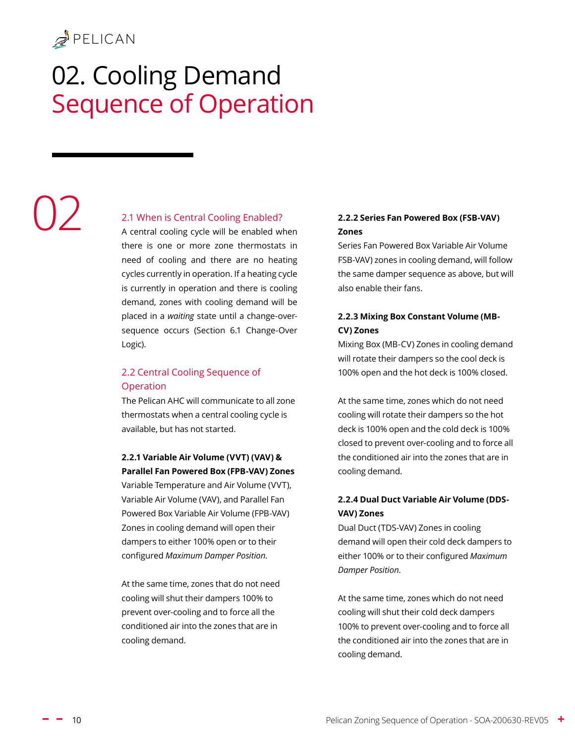# <span id="page-9-0"></span>02. Cooling Demand Sequence of Operation

# 02

#### 2.1 When is Central Cooling Enabled?

A central cooling cycle will be enabled when there is one or more zone thermostats in need of cooling and there are no heating cycles currently in operation. If a heating cycle is currently in operation and there is cooling demand, zones with cooling demand will be placed in a *waiting* state until a change-oversequence occurs [\(Section 6.1 Change-Over](#page-32-1)  [Logic\)](#page-32-1).

#### 2.2 Central Cooling Sequence of Operation

The Pelican AHC will communicate to all zone thermostats when a central cooling cycle is available, but has not started.

#### **2.2.1 Variable Air Volume (VVT) (VAV) & Parallel Fan Powered Box (FPB-VAV) Zones**

Variable Temperature and Air Volume (VVT), Variable Air Volume (VAV), and Parallel Fan Powered Box Variable Air Volume (FPB-VAV) Zones in cooling demand will open their dampers to either 100% open or to their configured *Maximum Damper Position*.

At the same time, zones that do not need cooling will shut their dampers 100% to prevent over-cooling and to force all the conditioned air into the zones that are in cooling demand.

#### **2.2.2 Series Fan Powered Box (FSB-VAV) Zones**

Series Fan Powered Box Variable Air Volume FSB-VAV) zones in cooling demand, will follow the same damper sequence as above, but will also enable their fans.

#### **2.2.3 Mixing Box Constant Volume (MB-CV) Zones**

Mixing Box (MB-CV) Zones in cooling demand will rotate their dampers so the cool deck is 100% open and the hot deck is 100% closed.

At the same time, zones which do not need cooling will rotate their dampers so the hot deck is 100% open and the cold deck is 100% closed to prevent over-cooling and to force all the conditioned air into the zones that are in cooling demand.

#### **2.2.4 Dual Duct Variable Air Volume (DDS-VAV) Zones**

Dual Duct (TDS-VAV) Zones in cooling demand will open their cold deck dampers to either 100% or to their configured *Maximum Damper Position*.

At the same time, zones which do not need cooling will shut their cold deck dampers 100% to prevent over-cooling and to force all the conditioned air into the zones that are in cooling demand.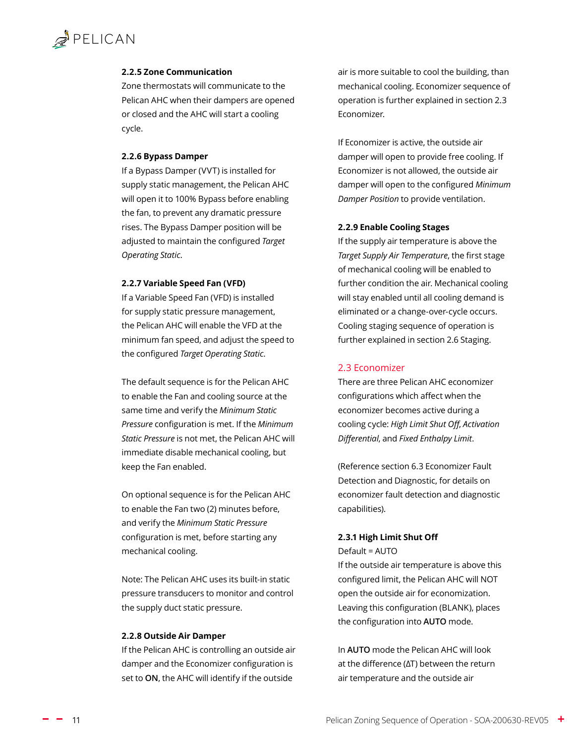#### <span id="page-10-0"></span>**2.2.5 Zone Communication**

Zone thermostats will communicate to the Pelican AHC when their dampers are opened or closed and the AHC will start a cooling cycle.

#### **2.2.6 Bypass Damper**

If a Bypass Damper (VVT) is installed for supply static management, the Pelican AHC will open it to 100% Bypass before enabling the fan, to prevent any dramatic pressure rises. The Bypass Damper position will be adjusted to maintain the configured *[Target](#page-23-1)  [Operating Static](#page-23-1)*.

#### **2.2.7 Variable Speed Fan (VFD)**

If a Variable Speed Fan (VFD) is installed for supply static pressure management, the Pelican AHC will enable the VFD at the minimum fan speed, and adjust the speed to the configured *[Target Operating Static](#page-23-1)*.

The default sequence is for the Pelican AHC to enable the Fan and cooling source at the same time and verify the *[Minimum Static](#page-23-2)  [Pressure](#page-23-2)* configuration is met. If the *[Minimum](#page-23-2)  [Static Pressure](#page-23-2)* is not met, the Pelican AHC will immediate disable mechanical cooling, but keep the Fan enabled.

On optional sequence is for the Pelican AHC to enable the Fan two (2) minutes before, and verify the *[Minimum Static Pressure](#page-23-2)* configuration is met, before starting any mechanical cooling.

Note: The Pelican AHC uses its built-in static pressure transducers to monitor and control the supply duct static pressure.

#### **2.2.8 Outside Air Damper**

If the Pelican AHC is controlling an outside air damper and the [Economizer](#page-10-1) configuration is set to **ON**, the AHC will identify if the outside

air is more suitable to cool the building, than mechanical cooling. Economizer sequence of operation is further explained in section [2.3](#page-10-1)  [Economizer.](#page-10-1)

If Economizer is active, the outside air damper will open to provide free cooling. If Economizer is not allowed, the outside air damper will open to the configured *[Minimum](#page-25-1)  [Damper Position](#page-25-1)* to provide ventilation.

#### **2.2.9 Enable Cooling Stages**

If the supply air temperature is above the *[Target Supply Air Temperature](#page-12-1)*, the first stage of mechanical cooling will be enabled to further condition the air. Mechanical cooling will stay enabled until all cooling demand is eliminated or a change-over-cycle occurs. Cooling staging sequence of operation is further explained in section [2.6 Staging.](#page-13-1)

#### <span id="page-10-1"></span>2.3 Economizer

There are three Pelican AHC economizer configurations which affect when the economizer becomes active during a cooling cycle: *[High Limit Shut Off](#page-10-2)*, *[Activation](#page-11-1)  [Differential](#page-11-1)*, and *[Fixed Enthalpy Limit](#page-11-2)*.

(Reference section [6.3 Economizer Fault](#page-32-2)  [Detection and Diagnostic,](#page-32-2) for details on economizer fault detection and diagnostic capabilities).

#### <span id="page-10-2"></span>**2.3.1 High Limit Shut Off**

Default = AUTO

If the outside air temperature is above this configured limit, the Pelican AHC will NOT open the outside air for economization. Leaving this configuration (BLANK), places the configuration into **AUTO** mode.

In **AUTO** mode the Pelican AHC will look at the difference (ΔT) between the return air temperature and the outside air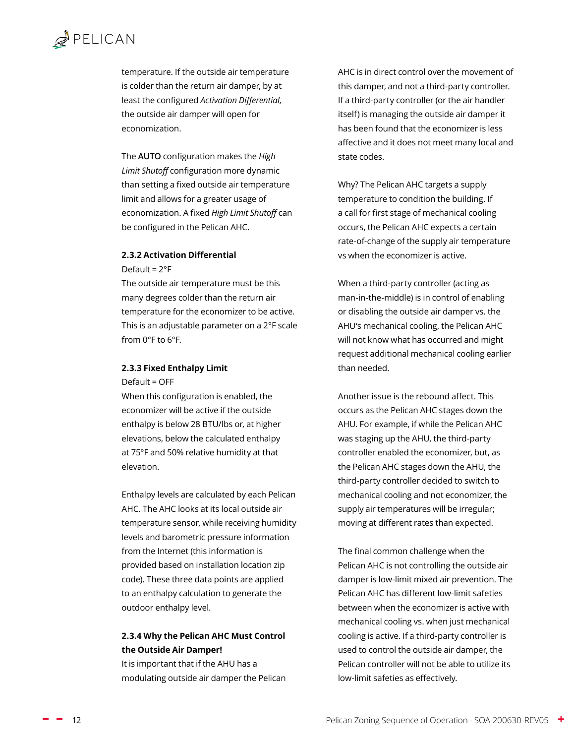<span id="page-11-0"></span>temperature. If the outside air temperature is colder than the return air damper, by at least the configured *[Activation Differential](#page-11-1)*, the outside air damper will open for economization.

The **AUTO** configuration makes the *High Limit Shutoff* configuration more dynamic than setting a fixed outside air temperature limit and allows for a greater usage of economization. A fixed *High Limit Shutoff* can be configured in the Pelican AHC.

#### <span id="page-11-1"></span>**2.3.2 Activation Differential**

Default = 2°F

The outside air temperature must be this many degrees colder than the return air temperature for the economizer to be active. This is an adjustable parameter on a 2°F scale from 0°F to 6°F.

#### <span id="page-11-2"></span>**2.3.3 Fixed Enthalpy Limit**

Default = OFF

When this configuration is enabled, the economizer will be active if the outside enthalpy is below 28 BTU/lbs or, at higher elevations, below the calculated enthalpy at 75°F and 50% relative humidity at that elevation.

Enthalpy levels are calculated by each Pelican AHC. The AHC looks at its local outside air temperature sensor, while receiving humidity levels and barometric pressure information from the Internet (this information is provided based on installation location zip code). These three data points are applied to an enthalpy calculation to generate the outdoor enthalpy level.

#### **2.3.4 Why the Pelican AHC Must Control the Outside Air Damper!**

It is important that if the AHU has a modulating outside air damper the Pelican AHC is in direct control over the movement of this damper, and not a third-party controller. If a third-party controller (or the air handler itself) is managing the outside air damper it has been found that the economizer is less affective and it does not meet many local and state codes.

Why? The Pelican AHC targets a supply temperature to condition the building. If a call for first stage of mechanical cooling occurs, the Pelican AHC expects a certain rate-of-change of the supply air temperature vs when the economizer is active.

When a third-party controller (acting as man-in-the-middle) is in control of enabling or disabling the outside air damper vs. the AHU's mechanical cooling, the Pelican AHC will not know what has occurred and might request additional mechanical cooling earlier than needed.

Another issue is the rebound affect. This occurs as the Pelican AHC stages down the AHU. For example, if while the Pelican AHC was staging up the AHU, the third-party controller enabled the economizer, but, as the Pelican AHC stages down the AHU, the third-party controller decided to switch to mechanical cooling and not economizer, the supply air temperatures will be irregular; moving at different rates than expected.

The final common challenge when the Pelican AHC is not controlling the outside air damper is [low-limit mixed air prevention](#page-14-1). The Pelican AHC has different low-limit safeties between when the economizer is active with mechanical cooling vs. when just mechanical cooling is active. If a third-party controller is used to control the outside air damper, the Pelican controller will not be able to utilize its low-limit safeties as effectively.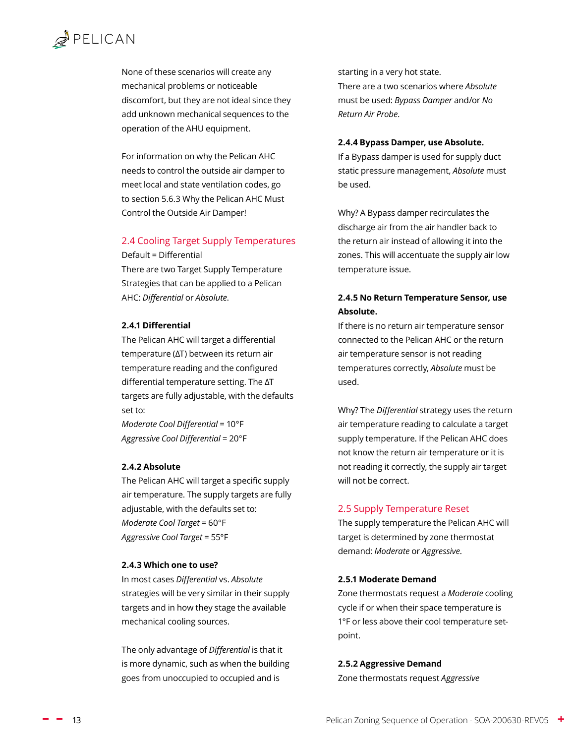<span id="page-12-0"></span>None of these scenarios will create any mechanical problems or noticeable discomfort, but they are not ideal since they add unknown mechanical sequences to the operation of the AHU equipment.

For information on why the Pelican AHC needs to control the outside air damper to meet local and state ventilation codes, go to section [5.6.3 Why the Pelican AHC Must](#page-27-1)  [Control the Outside Air Damper!](#page-27-1)

#### <span id="page-12-1"></span>2.4 Cooling Target Supply Temperatures

Default = Differential

There are two Target Supply Temperature Strategies that can be applied to a Pelican AHC: *[Differential](#page-12-2)* or *[Absolute](#page-12-3)*.

#### <span id="page-12-2"></span>**2.4.1 Differential**

The Pelican AHC will target a differential temperature (ΔT) between its return air temperature reading and the configured differential temperature setting. The ΔT targets are fully adjustable, with the defaults set to:

*Moderate Cool Differential* = 10°F *Aggressive Cool Differential* = 20°F

#### <span id="page-12-3"></span>**2.4.2 Absolute**

The Pelican AHC will target a specific supply air temperature. The supply targets are fully adjustable, with the defaults set to: *Moderate Cool Target* = 60°F *Aggressive Cool Target* = 55°F

#### **2.4.3 Which one to use?**

In most cases *Differential* vs. *Absolute* strategies will be very similar in their supply targets and in how they stage the available mechanical cooling sources.

The only advantage of *Differential* is that it is more dynamic, such as when the building goes from unoccupied to occupied and is

starting in a very hot state. There are a two scenarios where *Absolute* must be used: *Bypass Damper* and/or *No Return Air Probe*.

#### **2.4.4 Bypass Damper, use Absolute.**

If a Bypass damper is used for supply duct static pressure management, *Absolute* must be used.

Why? A Bypass damper recirculates the discharge air from the air handler back to the return air instead of allowing it into the zones. This will accentuate the supply air low temperature issue.

#### **2.4.5 No Return Temperature Sensor, use Absolute.**

If there is no return air temperature sensor connected to the Pelican AHC or the return air temperature sensor is not reading temperatures correctly, *Absolute* must be used.

Why? The *Differential* strategy uses the return air temperature reading to calculate a target supply temperature. If the Pelican AHC does not know the return air temperature or it is not reading it correctly, the supply air target will not be correct.

#### 2.5 Supply Temperature Reset

The supply temperature the Pelican AHC will target is determined by zone thermostat demand: *[Moderate](#page-12-4)* or *Aggressive*.

#### <span id="page-12-4"></span>**2.5.1 Moderate Demand**

Zone thermostats request a *Moderate* cooling cycle if or when their space temperature is 1°F or less above their cool temperature setpoint.

#### **2.5.2 Aggressive Demand**

Zone thermostats request *Aggressive*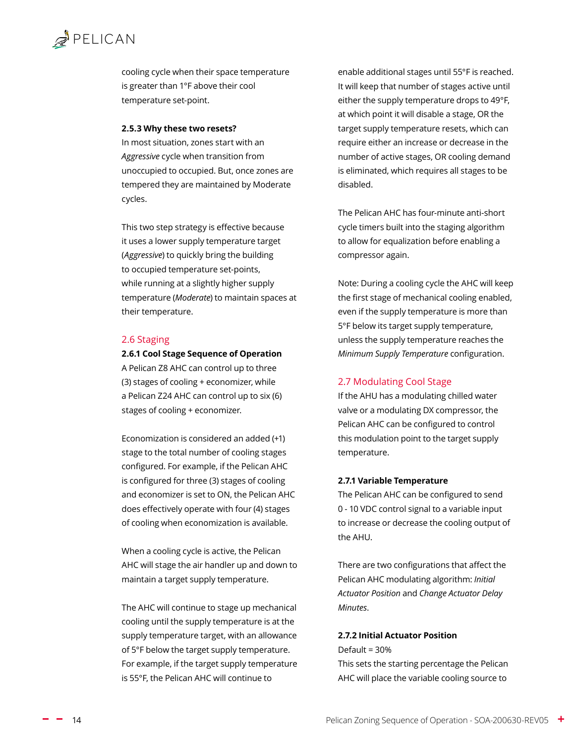<span id="page-13-0"></span>cooling cycle when their space temperature is greater than 1°F above their cool temperature set-point.

#### **2.5.3 Why these two resets?**

In most situation, zones start with an *Aggressive* cycle when transition from unoccupied to occupied. But, once zones are tempered they are maintained by Moderate cycles.

This two step strategy is effective because it uses a lower supply temperature target (*Aggressive*) to quickly bring the building to occupied temperature set-points, while running at a slightly higher supply temperature (*Moderate*) to maintain spaces at their temperature.

#### <span id="page-13-1"></span>2.6 Staging

**2.6.1 Cool Stage Sequence of Operation**

A Pelican Z8 AHC can control up to three (3) stages of cooling + economizer, while a Pelican Z24 AHC can control up to six (6) stages of cooling + economizer.

Economization is considered an added (+1) stage to the total number of cooling stages configured. For example, if the Pelican AHC is configured for three (3) stages of cooling and economizer is set to ON, the Pelican AHC does effectively operate with four (4) stages of cooling when economization is available.

When a cooling cycle is active, the Pelican AHC will stage the air handler up and down to maintain a [target supply temperature.](#page-12-1)

The AHC will continue to stage up mechanical cooling until the supply temperature is at the supply temperature target, with an allowance of 5°F below the target supply temperature. For example, if the target supply temperature is 55°F, the Pelican AHC will continue to

enable additional stages until 55°F is reached. It will keep that number of stages active until either the supply temperature drops to 49°F, at which point it will disable a stage, OR the target supply temperature resets, which can require either an increase or decrease in the number of active stages, OR cooling demand is eliminated, which requires all stages to be disabled.

The Pelican AHC has four-minute anti-short cycle timers built into the staging algorithm to allow for equalization before enabling a compressor again.

Note: During a cooling cycle the AHC will keep the first stage of mechanical cooling enabled, even if the supply temperature is more than 5°F below its target supply temperature, unless the supply temperature reaches the *[Minimum Supply Temperature](#page-14-2)* configuration.

#### 2.7 Modulating Cool Stage

If the AHU has a modulating chilled water valve or a modulating DX compressor, the Pelican AHC can be configured to control this modulation point to the target supply temperature.

#### **2.7.1 Variable Temperature**

The Pelican AHC can be configured to send 0 - 10 VDC control signal to a variable input to increase or decrease the cooling output of the AHU.

There are two configurations that affect the Pelican AHC modulating algorithm: *[Initial](#page-13-2)  [Actuator Position](#page-13-2)* and *[Change Actuator Delay](#page-14-3)  [Minutes](#page-14-3)*.

#### <span id="page-13-2"></span>**2.7.2 Initial Actuator Position**

Default = 30%

This sets the starting percentage the Pelican AHC will place the variable cooling source to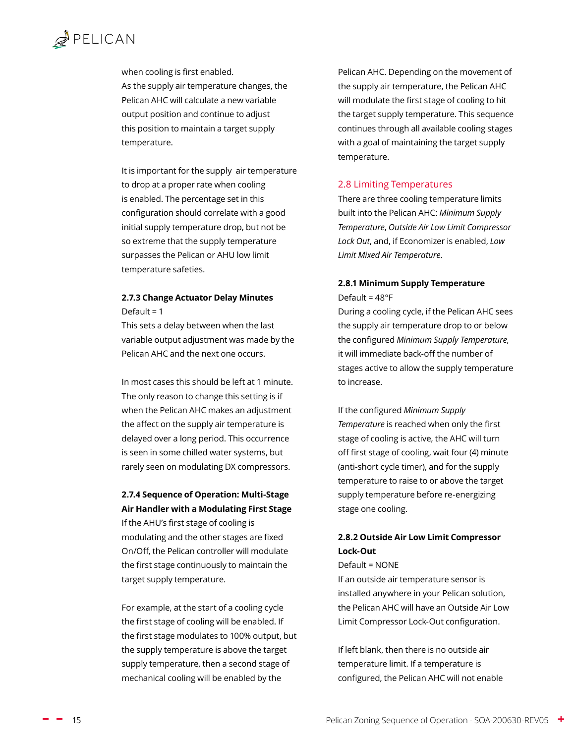<span id="page-14-0"></span>when cooling is first enabled. As the supply air temperature changes, the Pelican AHC will calculate a new variable output position and continue to adjust this position to maintain a [target supply](#page-12-1)  [temperature.](#page-12-1)

It is important for the supply air temperature to drop at a proper rate when cooling is enabled. The percentage set in this configuration should correlate with a good initial supply temperature drop, but not be so extreme that the supply temperature surpasses the Pelican or AHU low limit temperature safeties.

#### <span id="page-14-3"></span>**2.7.3 Change Actuator Delay Minutes** Default =  $1$

This sets a delay between when the last variable output adjustment was made by the Pelican AHC and the next one occurs.

In most cases this should be left at 1 minute. The only reason to change this setting is if when the Pelican AHC makes an adjustment the affect on the supply air temperature is delayed over a long period. This occurrence is seen in some chilled water systems, but rarely seen on modulating DX compressors.

#### **2.7.4 Sequence of Operation: Multi-Stage Air Handler with a Modulating First Stage**

If the AHU's first stage of cooling is modulating and the other stages are fixed On/Off, the Pelican controller will modulate the first stage continuously to maintain the target supply temperature.

For example, at the start of a cooling cycle the first stage of cooling will be enabled. If the first stage modulates to 100% output, but the supply temperature is above the target supply temperature, then a second stage of mechanical cooling will be enabled by the

Pelican AHC. Depending on the movement of the supply air temperature, the Pelican AHC will modulate the first stage of cooling to hit the target supply temperature. This sequence continues through all available cooling stages with a goal of maintaining the target supply temperature.

#### <span id="page-14-1"></span>2.8 Limiting Temperatures

There are three cooling temperature limits built into the Pelican AHC: *[Minimum Supply](#page-14-2)  [Temperature](#page-14-2)*, *[Outside Air Low Limit Compressor](#page-14-4)  [Lock Out](#page-14-4)*, and, if Economizer is enabled, *[Low](#page-15-1)  [Limit Mixed Air Temperature](#page-15-1)*.

#### <span id="page-14-2"></span>**2.8.1 Minimum Supply Temperature** Default = 48°F

During a cooling cycle, if the Pelican AHC sees the supply air temperature drop to or below the configured *Minimum Supply Temperature*, it will immediate back-off the number of stages active to allow the supply temperature to increase.

If the configured *Minimum Supply Temperature* is reached when only the first stage of cooling is active, the AHC will turn off first stage of cooling, wait four (4) minute (anti-short cycle timer), and for the supply temperature to raise to or above the target supply temperature before re-energizing stage one cooling.

#### <span id="page-14-4"></span>**2.8.2 Outside Air Low Limit Compressor Lock-Out**

#### Default = NONE

If an outside air temperature sensor is installed anywhere in your Pelican solution, the Pelican AHC will have an Outside Air Low Limit Compressor Lock-Out configuration.

If left blank, then there is no outside air temperature limit. If a temperature is configured, the Pelican AHC will not enable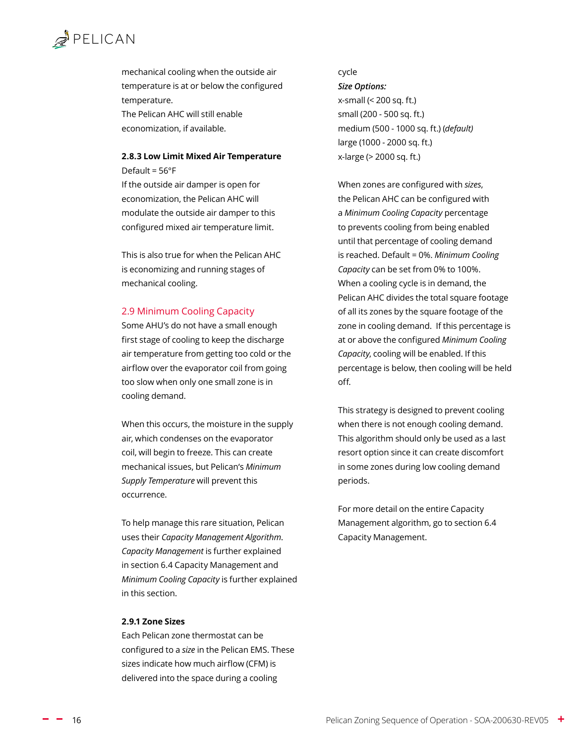<span id="page-15-0"></span>mechanical cooling when the outside air temperature is at or below the configured temperature.

The Pelican AHC will still enable economization, if available.

#### <span id="page-15-1"></span>**2.8.3 Low Limit Mixed Air Temperature** Default = 56°F

If the outside air damper is open for economization, the Pelican AHC will modulate the outside air damper to this configured mixed air temperature limit.

This is also true for when the Pelican AHC is economizing and running stages of mechanical cooling.

#### 2.9 Minimum Cooling Capacity

Some AHU's do not have a small enough first stage of cooling to keep the discharge air temperature from getting too cold or the airflow over the evaporator coil from going too slow when only one small zone is in cooling demand.

When this occurs, the moisture in the supply air, which condenses on the evaporator coil, will begin to freeze. This can create mechanical issues, but Pelican's *[Minimum](#page-14-2)  [Supply Temperature](#page-14-2)* will prevent this occurrence.

To help manage this rare situation, Pelican uses their *[Capacity Management Algorithm](#page-34-1)*. *Capacity Management* is further explained in section [6.4 Capacity Management](#page-34-1) and *Minimum Cooling Capacity* is further explained in this section.

#### **2.9.1 Zone Sizes**

Each Pelican zone thermostat can be configured to a *size* in the Pelican EMS. These sizes indicate how much airflow (CFM) is delivered into the space during a cooling

#### cycle

*Size Options:* 

x-small (< 200 sq. ft.) small (200 - 500 sq. ft.) medium (500 - 1000 sq. ft.) (*default)* large (1000 - 2000 sq. ft.) x-large (> 2000 sq. ft.)

When zones are configured with *sizes*, the Pelican AHC can be configured with a *Minimum Cooling Capacity* percentage to prevents cooling from being enabled until that percentage of cooling demand is reached. Default = 0%. *Minimum Cooling Capacity* can be set from 0% to 100%. When a cooling cycle is in demand, the Pelican AHC divides the total square footage of all its zones by the square footage of the zone in cooling demand. If this percentage is at or above the configured *Minimum Cooling Capacity*, cooling will be enabled. If this percentage is below, then cooling will be held off.

This strategy is designed to prevent cooling when there is not enough cooling demand. This algorithm should only be used as a last resort option since it can create discomfort in some zones during low cooling demand periods.

For more detail on the entire Capacity Management algorithm, go to sectio[n 6.4](#page-34-1)  [Capacity Management.](#page-34-1)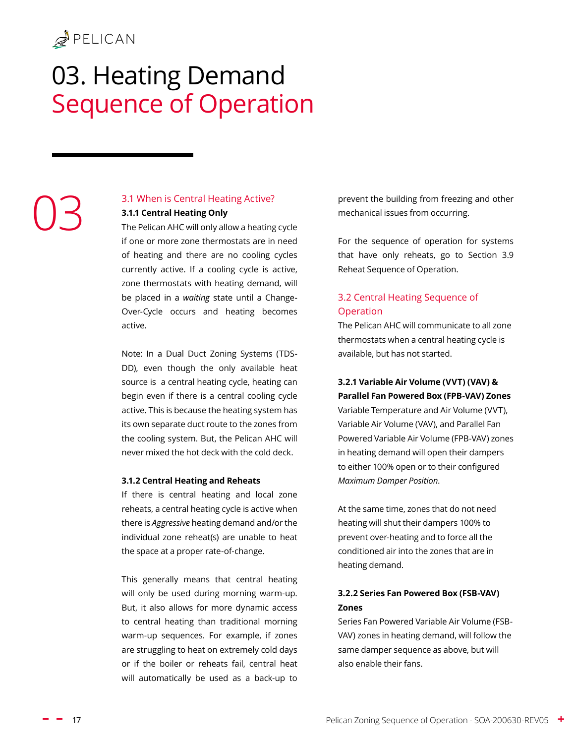# <span id="page-16-0"></span>03. Heating Demand Sequence of Operation

# 03

#### 3.1 When is Central Heating Active?

**3.1.1 Central Heating Only**

The Pelican AHC will only allow a heating cycle if one or more zone thermostats are in need of heating and there are no cooling cycles currently active. If a cooling cycle is active, zone thermostats with heating demand, will be placed in a *waiting* state until a [Change-](#page-32-1)[Over-Cycle](#page-32-1) occurs and heating becomes active.

Note: In a Dual Duct Zoning Systems (TDS-DD), even though the only available heat source is a central heating cycle, heating can begin even if there is a central cooling cycle active. This is because the heating system has its own separate duct route to the zones from the cooling system. But, the Pelican AHC will never mixed the hot deck with the cold deck.

#### **3.1.2 Central Heating and Reheats**

If there is central heating and local zone reheats, a central heating cycle is active when there is *Aggressive* heating demand and/or the individual zone reheat(s) are unable to heat the space at a proper rate-of-change.

This generally means that central heating will only be used during morning warm-up. But, it also allows for more dynamic access to central heating than traditional morning warm-up sequences. For example, if zones are struggling to heat on extremely cold days or if the boiler or reheats fail, central heat will automatically be used as a back-up to prevent the building from freezing and other mechanical issues from occurring.

For the sequence of operation for systems that have only reheats, go to [Section 3.9](#page-21-1) [Reheat Sequence of Operation.](#page-21-1)

#### 3.2 Central Heating Sequence of Operation

The Pelican AHC will communicate to all zone thermostats when a central heating cycle is available, but has not started.

#### **3.2.1 Variable Air Volume (VVT) (VAV) & Parallel Fan Powered Box (FPB-VAV) Zones**

Variable Temperature and Air Volume (VVT), Variable Air Volume (VAV), and Parallel Fan Powered Variable Air Volume (FPB-VAV) zones in heating demand will open their dampers to either 100% open or to their configured *Maximum Damper Position*.

At the same time, zones that do not need heating will shut their dampers 100% to prevent over-heating and to force all the conditioned air into the zones that are in heating demand.

#### **3.2.2 Series Fan Powered Box (FSB-VAV) Zones**

Series Fan Powered Variable Air Volume (FSB-VAV) zones in heating demand, will follow the same damper sequence as above, but will also enable their fans.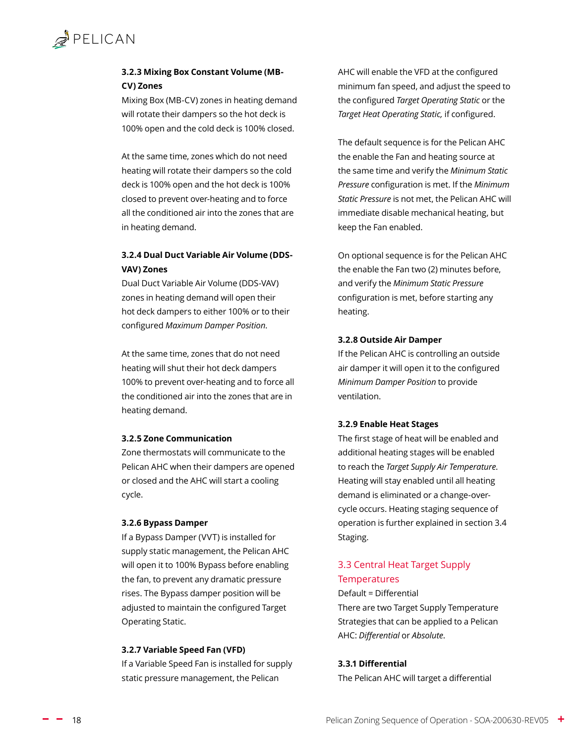#### <span id="page-17-0"></span>**3.2.3 Mixing Box Constant Volume (MB-CV) Zones**

Mixing Box (MB-CV) zones in heating demand will rotate their dampers so the hot deck is 100% open and the cold deck is 100% closed.

At the same time, zones which do not need heating will rotate their dampers so the cold deck is 100% open and the hot deck is 100% closed to prevent over-heating and to force all the conditioned air into the zones that are in heating demand.

#### **3.2.4 Dual Duct Variable Air Volume (DDS-VAV) Zones**

Dual Duct Variable Air Volume (DDS-VAV) zones in heating demand will open their hot deck dampers to either 100% or to their configured *Maximum Damper Position*.

At the same time, zones that do not need heating will shut their hot deck dampers 100% to prevent over-heating and to force all the conditioned air into the zones that are in heating demand.

#### **3.2.5 Zone Communication**

Zone thermostats will communicate to the Pelican AHC when their dampers are opened or closed and the AHC will start a cooling cycle.

#### **3.2.6 Bypass Damper**

If a Bypass Damper (VVT) is installed for supply static management, the Pelican AHC will open it to 100% Bypass before enabling the fan, to prevent any dramatic pressure rises. The Bypass damper position will be adjusted to maintain the configured [Target](#page-23-1)  [Operating Static.](#page-23-1)

#### **3.2.7 Variable Speed Fan (VFD)**

If a Variable Speed Fan is installed for supply static pressure management, the Pelican

AHC will enable the VFD at the configured minimum fan speed, and adjust the speed to the configured *[Target Operating Static](#page-23-1)* or the *Target Heat Operating Static,* if configured.

The default sequence is for the Pelican AHC the enable the Fan and heating source at the same time and verify the *[Minimum Static](#page-23-2)  [Pressure](#page-23-2)* configuration is met. If the *[Minimum](#page-23-2)  [Static Pressure](#page-23-2)* is not met, the Pelican AHC will immediate disable mechanical heating, but keep the Fan enabled.

On optional sequence is for the Pelican AHC the enable the Fan two (2) minutes before, and verify the *[Minimum Static Pressure](#page-23-2)* configuration is met, before starting any heating.

#### **3.2.8 Outside Air Damper**

If the Pelican AHC is controlling an outside air damper it will open it to the configured *[Minimum Damper Position](#page-25-1)* to provide ventilation.

#### **3.2.9 Enable Heat Stages**

The first stage of heat will be enabled and additional heating stages will be enabled to reach the *[Target Supply Air Temperature](#page-12-1)*. Heating will stay enabled until all heating demand is eliminated or a change-overcycle occurs. Heating staging sequence of operation is further explained in section [3.4](#page-19-1)  [Staging](#page-19-1).

#### <span id="page-17-2"></span>3.3 Central Heat Target Supply **Temperatures**

#### Default = Differential

There are two Target Supply Temperature Strategies that can be applied to a Pelican AHC: *[Differential](#page-17-1)* or *[Absolute](#page-18-1)*.

#### <span id="page-17-1"></span>**3.3.1 Differential**

The Pelican AHC will target a differential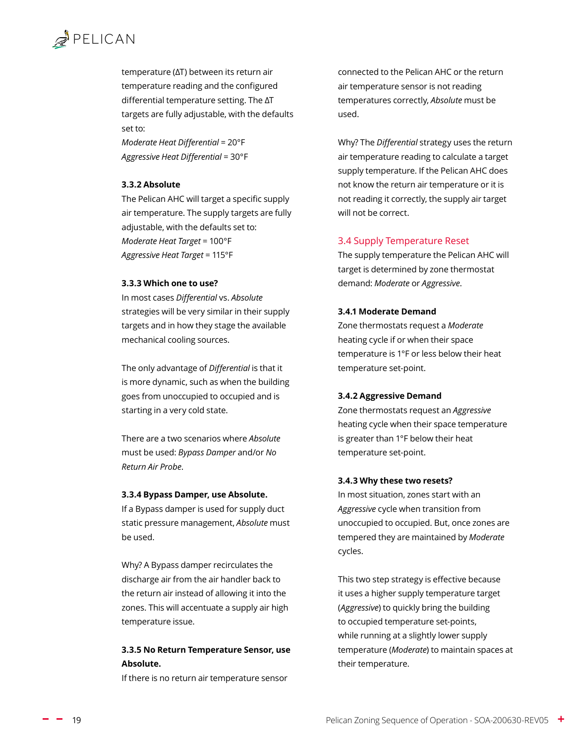<span id="page-18-0"></span>temperature (ΔT) between its return air temperature reading and the configured differential temperature setting. The ΔT targets are fully adjustable, with the defaults set to:

*Moderate Heat Differential* = 20°F *Aggressive Heat Differential* = 30°F

#### <span id="page-18-1"></span>**3.3.2 Absolute**

The Pelican AHC will target a specific supply air temperature. The supply targets are fully adjustable, with the defaults set to: *Moderate Heat Target* = 100°F *Aggressive Heat Target* = 115°F

#### **3.3.3 Which one to use?**

In most cases *Differential* vs. *Absolute* strategies will be very similar in their supply targets and in how they stage the available mechanical cooling sources.

The only advantage of *Differential* is that it is more dynamic, such as when the building goes from unoccupied to occupied and is starting in a very cold state.

There are a two scenarios where *Absolute* must be used: *Bypass Damper* and/or *No Return Air Probe*.

#### **3.3.4 Bypass Damper, use Absolute.**

If a Bypass damper is used for supply duct static pressure management, *Absolute* must be used.

Why? A Bypass damper recirculates the discharge air from the air handler back to the return air instead of allowing it into the zones. This will accentuate a supply air high temperature issue.

#### **3.3.5 No Return Temperature Sensor, use Absolute.**

If there is no return air temperature sensor

connected to the Pelican AHC or the return air temperature sensor is not reading temperatures correctly, *Absolute* must be used.

Why? The *Differential* strategy uses the return air temperature reading to calculate a target supply temperature. If the Pelican AHC does not know the return air temperature or it is not reading it correctly, the supply air target will not be correct.

#### 3.4 Supply Temperature Reset

The supply temperature the Pelican AHC will target is determined by zone thermostat demand: *[Moderate](#page-18-2)* or *Aggressive*.

#### <span id="page-18-2"></span>**3.4.1 Moderate Demand**

Zone thermostats request a *Moderate* heating cycle if or when their space temperature is 1°F or less below their heat temperature set-point.

#### **3.4.2 Aggressive Demand**

Zone thermostats request an *Aggressive* heating cycle when their space temperature is greater than 1°F below their heat temperature set-point.

#### **3.4.3 Why these two resets?**

In most situation, zones start with an *Aggressive* cycle when transition from unoccupied to occupied. But, once zones are tempered they are maintained by *Moderate* cycles.

This two step strategy is effective because it uses a higher supply temperature target (*Aggressive*) to quickly bring the building to occupied temperature set-points, while running at a slightly lower supply temperature (*Moderate*) to maintain spaces at their temperature.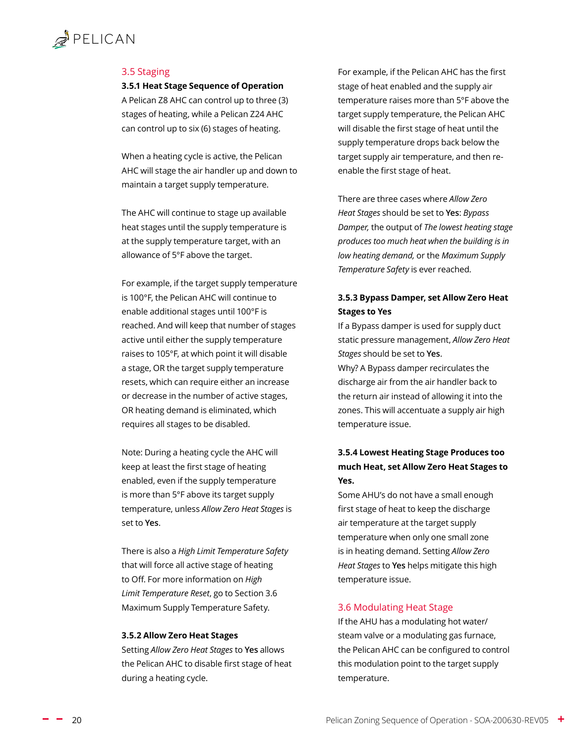#### <span id="page-19-1"></span><span id="page-19-0"></span>3.5 Staging

**3.5.1 Heat Stage Sequence of Operation** A Pelican Z8 AHC can control up to three (3) stages of heating, while a Pelican Z24 AHC can control up to six (6) stages of heating.

When a heating cycle is active, the Pelican AHC will stage the air handler up and down to maintain a [target supply temperature.](#page-17-2)

The AHC will continue to stage up available heat stages until the supply temperature is at the supply temperature target, with an allowance of 5°F above the target.

For example, if the target supply temperature is 100°F, the Pelican AHC will continue to enable additional stages until 100°F is reached. And will keep that number of stages active until either the supply temperature raises to 105°F, at which point it will disable a stage, OR the target supply temperature resets, which can require either an increase or decrease in the number of active stages, OR heating demand is eliminated, which requires all stages to be disabled.

Note: During a heating cycle the AHC will keep at least the first stage of heating enabled, even if the supply temperature is more than 5°F above its target supply temperature, unless *[Allow Zero Heat Stages](#page-19-2)* is set to **Yes**.

There is also a *High Limit Temperature Safety* that will force all active stage of heating to Off. For more information on *High Limit Temperature Reset*, go to [Section 3.6](#page-20-1)  [Maximum Supply Temperature Safety.](#page-20-1)

#### <span id="page-19-2"></span>**3.5.2 Allow Zero Heat Stages**

Setting *Allow Zero Heat Stages* to **Yes** allows the Pelican AHC to disable first stage of heat during a heating cycle.

For example, if the Pelican AHC has the first stage of heat enabled and the supply air temperature raises more than 5°F above the target supply temperature, the Pelican AHC will disable the first stage of heat until the supply temperature drops back below the target supply air temperature, and then reenable the first stage of heat.

There are three cases where *Allow Zero Heat Stages* should be set to **Yes**: *[Bypass](#page-19-3)  [Damper](#page-19-3),* the output of *[The lowest heating stage](#page-19-4)  [produces too much heat when the building is in](#page-19-4)  [low heating demand](#page-19-4),* or the *[Maximum Supply](#page-20-1)  [Temperature Safety](#page-20-1)* is ever reached*.*

#### <span id="page-19-3"></span>**3.5.3 Bypass Damper, set Allow Zero Heat Stages to Yes**

If a Bypass damper is used for supply duct static pressure management, *Allow Zero Heat Stages* should be set to **Yes**.

Why? A Bypass damper recirculates the discharge air from the air handler back to the return air instead of allowing it into the zones. This will accentuate a supply air high temperature issue.

#### <span id="page-19-4"></span>**3.5.4 Lowest Heating Stage Produces too much Heat, set Allow Zero Heat Stages to Yes.**

Some AHU's do not have a small enough first stage of heat to keep the discharge air temperature at the target supply temperature when only one small zone is in heating demand. Setting *Allow Zero Heat Stages* to **Yes** helps mitigate this high temperature issue.

#### 3.6 Modulating Heat Stage

If the AHU has a modulating hot water/ steam valve or a modulating gas furnace, the Pelican AHC can be configured to control this modulation point to the target supply temperature.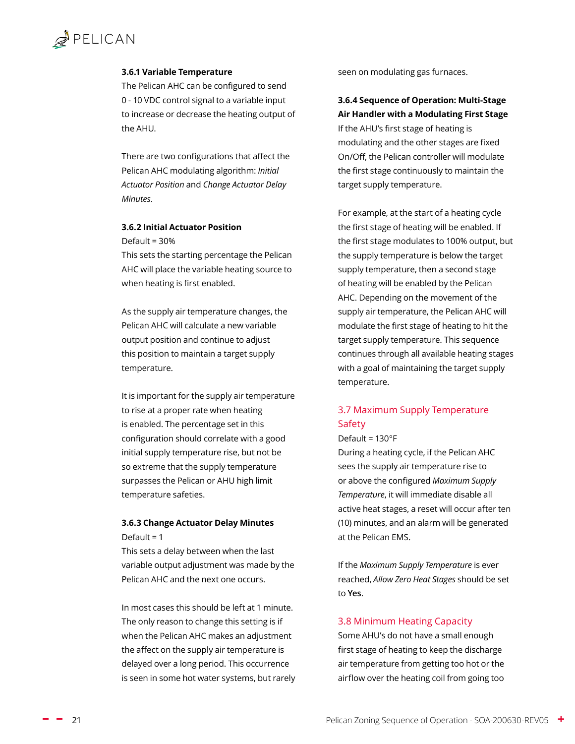#### <span id="page-20-0"></span>**3.6.1 Variable Temperature**

The Pelican AHC can be configured to send 0 - 10 VDC control signal to a variable input to increase or decrease the heating output of the AHU.

There are two configurations that affect the Pelican AHC modulating algorithm: *[Initial](#page-20-2)  [Actuator Position](#page-20-2)* and *[Change Actuator Delay](#page-20-3)  [Minutes](#page-20-3)*.

#### <span id="page-20-2"></span>**3.6.2 Initial Actuator Position**

Default = 30%

This sets the starting percentage the Pelican AHC will place the variable heating source to when heating is first enabled.

As the supply air temperature changes, the Pelican AHC will calculate a new variable output position and continue to adjust this position to maintain a [target supply](#page-12-1)  [temperature.](#page-12-1)

It is important for the supply air temperature to rise at a proper rate when heating is enabled. The percentage set in this configuration should correlate with a good initial supply temperature rise, but not be so extreme that the supply temperature surpasses the Pelican or AHU [high limit](#page-14-1)  [temperature](#page-14-1) safeties.

#### <span id="page-20-3"></span>**3.6.3 Change Actuator Delay Minutes** Default =  $1$

This sets a delay between when the last variable output adjustment was made by the Pelican AHC and the next one occurs.

In most cases this should be left at 1 minute. The only reason to change this setting is if when the Pelican AHC makes an adjustment the affect on the supply air temperature is delayed over a long period. This occurrence is seen in some hot water systems, but rarely seen on modulating gas furnaces.

#### **3.6.4 Sequence of Operation: Multi-Stage Air Handler with a Modulating First Stage**

If the AHU's first stage of heating is modulating and the other stages are fixed On/Off, the Pelican controller will modulate the first stage continuously to maintain the target supply temperature.

For example, at the start of a heating cycle the first stage of heating will be enabled. If the first stage modulates to 100% output, but the supply temperature is below the target supply temperature, then a second stage of heating will be enabled by the Pelican AHC. Depending on the movement of the supply air temperature, the Pelican AHC will modulate the first stage of heating to hit the target supply temperature. This sequence continues through all available heating stages with a goal of maintaining the target supply temperature.

#### <span id="page-20-1"></span>3.7 Maximum Supply Temperature Safety

#### Default = 130°F

During a heating cycle, if the Pelican AHC sees the supply air temperature rise to or above the configured *Maximum Supply Temperature*, it will immediate disable all active heat stages, a reset will occur after ten (10) minutes, and an alarm will be generated at the Pelican EMS.

If the *Maximum Supply Temperature* is ever reached, *[Allow Zero Heat Stages](#page-19-2)* should be set to **Yes**.

#### 3.8 Minimum Heating Capacity

Some AHU's do not have a small enough first stage of heating to keep the discharge air temperature from getting too hot or the airflow over the heating coil from going too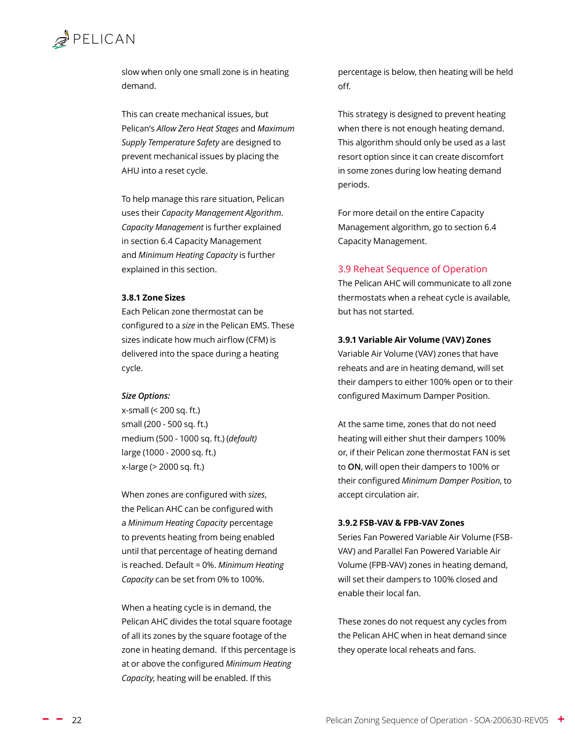<span id="page-21-0"></span>

slow when only one small zone is in heating demand.

This can create mechanical issues, but Pelican's *[Allow Zero Heat Stages](#page-19-2)* and *[Maximum](#page-20-1)  [Supply Temperature Safety](#page-20-1)* are designed to prevent mechanical issues by placing the AHU into a reset cycle.

To help manage this rare situation, Pelican uses their *[Capacity Management Algorithm](#page-34-1)*. *Capacity Management* is further explained in section [6.4 Capacity Management](#page-34-1)  and *Minimum Heating Capacity* is further explained in this section.

#### **3.8.1 Zone Sizes**

Each Pelican zone thermostat can be configured to a *size* in the Pelican EMS. These sizes indicate how much airflow (CFM) is delivered into the space during a heating cycle.

#### *Size Options:*

x-small (< 200 sq. ft.) small (200 - 500 sq. ft.) medium (500 - 1000 sq. ft.) (*default)* large (1000 - 2000 sq. ft.) x-large (> 2000 sq. ft.)

When zones are configured with *sizes*, the Pelican AHC can be configured with a *Minimum Heating Capacity* percentage to prevents heating from being enabled until that percentage of heating demand is reached. Default = 0%. *Minimum Heating Capacity* can be set from 0% to 100%.

When a heating cycle is in demand, the Pelican AHC divides the total square footage of all its zones by the square footage of the zone in heating demand. If this percentage is at or above the configured *Minimum Heating Capacity*, heating will be enabled. If this

percentage is below, then heating will be held off.

This strategy is designed to prevent heating when there is not enough heating demand. This algorithm should only be used as a last resort option since it can create discomfort in some zones during low heating demand periods.

For more detail on the entire Capacity Management algorithm, go to sectio[n 6.4](#page-34-1)  [Capacity Management.](#page-34-1)

#### <span id="page-21-1"></span>3.9 Reheat Sequence of Operation

The Pelican AHC will communicate to all zone thermostats when a reheat cycle is available, but has not started.

#### **3.9.1 Variable Air Volume (VAV) Zones**

Variable Air Volume (VAV) zones that have reheats and are in heating demand, will set their dampers to either 100% open or to their configured Maximum Damper Position.

At the same time, zones that do not need heating will either shut their dampers 100% or, if their Pelican zone thermostat FAN is set to **ON**, will open their dampers to 100% or their configured *Minimum Damper Position*, to accept circulation air.

#### **3.9.2 FSB-VAV & FPB-VAV Zones**

Series Fan Powered Variable Air Volume (FSB-VAV) and Parallel Fan Powered Variable Air Volume (FPB-VAV) zones in heating demand, will set their dampers to 100% closed and enable their local fan.

These zones do not request any cycles from the Pelican AHC when in heat demand since they operate local reheats and fans.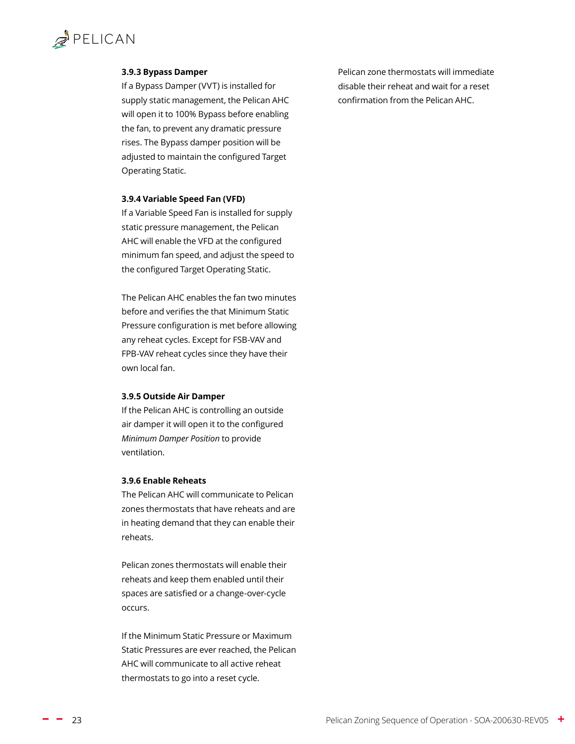#### <span id="page-22-0"></span>**3.9.3 Bypass Damper**

If a Bypass Damper (VVT) is installed for supply static management, the Pelican AHC will open it to 100% Bypass before enabling the fan, to prevent any dramatic pressure rises. The Bypass damper position will be adjusted to maintain the configured [Target](#page-23-1)  [Operating Static.](#page-23-1)

#### **3.9.4 Variable Speed Fan (VFD)**

If a Variable Speed Fan is installed for supply static pressure management, the Pelican AHC will enable the VFD at the configured minimum fan speed, and adjust the speed to the configured [Target Operating Static](#page-23-1).

The Pelican AHC enables the fan two minutes before and verifies the that [Minimum Static](#page-23-2)  [Pressure](#page-23-2) configuration is met before allowing any reheat cycles. Except for FSB-VAV and FPB-VAV reheat cycles since they have their own local fan.

#### **3.9.5 Outside Air Damper**

If the Pelican AHC is controlling an outside air damper it will open it to the configured *[Minimum Damper Position](#page-25-1)* to provide ventilation.

#### **3.9.6 Enable Reheats**

The Pelican AHC will communicate to Pelican zones thermostats that have reheats and are in heating demand that they can enable their reheats.

Pelican zones thermostats will enable their reheats and keep them enabled until their spaces are satisfied or a change-over-cycle occurs.

If the Minimum Static Pressure or Maximum Static Pressures are ever reached, the Pelican AHC will communicate to all active reheat thermostats to go into a reset cycle.

Pelican zone thermostats will immediate disable their reheat and wait for a reset confirmation from the Pelican AHC.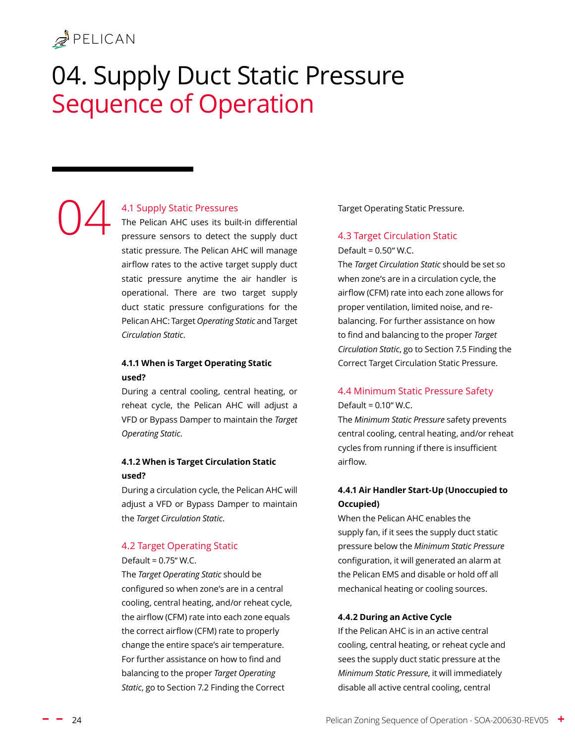04

# <span id="page-23-0"></span>04. Supply Duct Static Pressure Sequence of Operation

#### <span id="page-23-4"></span>4.1 Supply Static Pressures

The Pelican AHC uses its built-in differential pressure sensors to detect the supply duct static pressure. The Pelican AHC will manage airflow rates to the active target supply duct static pressure anytime the air handler is operational. There are two target supply duct static pressure configurations for the Pelican AHC: Target *Operating Static* and Target *Circulation Static*.

#### **4.1.1 When is Target Operating Static used?**

During a central cooling, central heating, or reheat cycle, the Pelican AHC will adjust a VFD or Bypass Damper to maintain the *Target Operating Static*.

#### **4.1.2 When is Target Circulation Static used?**

During a circulation cycle, the Pelican AHC will adjust a VFD or Bypass Damper to maintain the *Target Circulation Static*.

#### <span id="page-23-1"></span>4.2 Target Operating Static

Default = 0.75" W.C.

The *Target Operating Static* should be configured so when zone's are in a central cooling, central heating, and/or reheat cycle, the airflow (CFM) rate into each zone equals the correct airflow (CFM) rate to properly change the entire space's air temperature. For further assistance on how to find and balancing to the proper *Target Operating Static*, go to Section [7.2 Finding the Correct](#page-39-1) 

[Target Operating Static Pressure](#page-39-1).

#### <span id="page-23-3"></span>4.3 Target Circulation Static

Default = 0.50" W.C.

The *Target Circulation Static* should be set so when zone's are in a circulation cycle, the airflow (CFM) rate into each zone allows for proper ventilation, limited noise, and rebalancing. For further assistance on how to find and balancing to the proper *Target Circulation Static*, go to Section [7.5 Finding the](#page-43-1)  [Correct Target Circulation Static Pressure.](#page-43-1)

#### <span id="page-23-2"></span>4.4 Minimum Static Pressure Safety Default = 0.10" W.C.

The *Minimum Static Pressure* safety prevents central cooling, central heating, and/or reheat cycles from running if there is insufficient airflow.

#### **4.4.1 Air Handler Start-Up (Unoccupied to Occupied)**

When the Pelican AHC enables the supply fan, if it sees the supply duct static pressure below the *Minimum Static Pressure*  configuration, it will generated an alarm at the Pelican EMS and disable or hold off all mechanical heating or cooling sources.

#### **4.4.2 During an Active Cycle**

If the Pelican AHC is in an active central cooling, central heating, or reheat cycle and sees the supply duct static pressure at the *Minimum Static Pressure*, it will immediately disable all active central cooling, central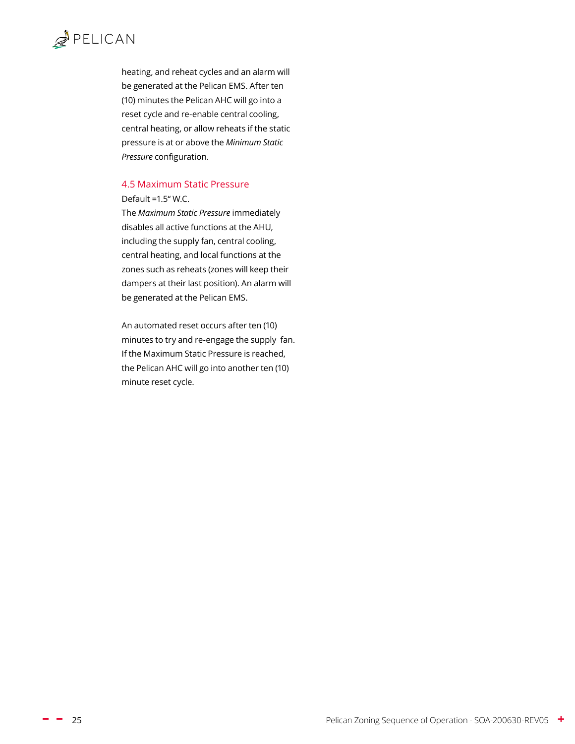# <span id="page-24-0"></span> $R$

heating, and reheat cycles and an alarm will be generated at the Pelican EMS. After ten (10) minutes the Pelican AHC will go into a reset cycle and re-enable central cooling, central heating, or allow reheats if the static pressure is at or above the *Minimum Static Pressure* configuration.

#### 4.5 Maximum Static Pressure

#### Default =1.5" W.C.

The *Maximum Static Pressure* immediately disables all active functions at the AHU, including the supply fan, central cooling, central heating, and local functions at the zones such as reheats (zones will keep their dampers at their last position). An alarm will be generated at the Pelican EMS.

An automated reset occurs after ten (10) minutes to try and re-engage the supply fan. If the Maximum Static Pressure is reached, the Pelican AHC will go into another ten (10) minute reset cycle.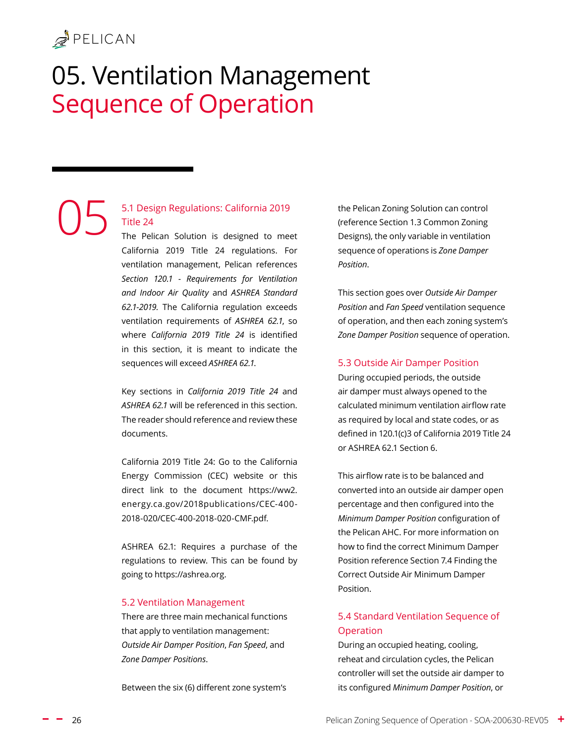05

# <span id="page-25-0"></span>05. Ventilation Management Sequence of Operation

#### 5.1 Design Regulations: California 2019 Title 24

The Pelican Solution is designed to meet California 2019 Title 24 regulations. For ventilation management, Pelican references *Section 120.1 - Requirements for Ventilation and Indoor Air Quality* and *ASHREA Standard 62.1-2019.* The California regulation exceeds ventilation requirements of *ASHREA 62.1*, so where *California 2019 Title 24* is identified in this section, it is meant to indicate the sequences will exceed *ASHREA 62.1*.

Key sections in *California 2019 Title 24* and *ASHREA 62.1* will be referenced in this section. The reader should reference and review these documents.

California 2019 Title 24: Go to the California Energy Commission (CEC) website or this direct link to the document https://ww2. energy.ca.gov/2018publications/CEC-400- 2018-020/CEC-400-2018-020-CMF.pdf.

ASHREA 62.1: Requires a purchase of the regulations to review. This can be found by going to https://ashrea.org.

#### 5.2 Ventilation Management

There are three main mechanical functions that apply to ventilation management: *[Outside Air Damper Position](#page-25-1)*, *[Fan Speed](#page-27-2)*, and *[Zone Damper Positions](#page-27-3)*.

Between the six (6) different zone system's

the Pelican Zoning Solution can control (reference Section [1.3 Common Zoning](#page-6-1)  [Designs](#page-6-1)), the only variable in ventilation sequence of operations is *Zone Damper Position*.

This section goes over *Outside Air Damper Position* and *Fan Speed* ventilation sequence of operation, and then each zoning system's *Zone Damper Position* sequence of operation.

#### <span id="page-25-1"></span>5.3 Outside Air Damper Position

During occupied periods, the outside air damper must always opened to the calculated minimum ventilation airflow rate as required by local and state codes, or as defined in 120.1(c)3 of California 2019 Title 24 or ASHREA 62.1 Section 6.

This airflow rate is to be balanced and converted into an outside air damper open percentage and then configured into the *Minimum Damper Position* configuration of the Pelican AHC. For more information on how to find the correct Minimum Damper Position reference Section 7.4 Finding the Correct Outside Air Minimum Damper Position.

#### 5.4 Standard Ventilation Sequence of Operation

During an occupied heating, cooling, reheat and circulation cycles, the Pelican controller will set the outside air damper to its configured *Minimum Damper Position*, or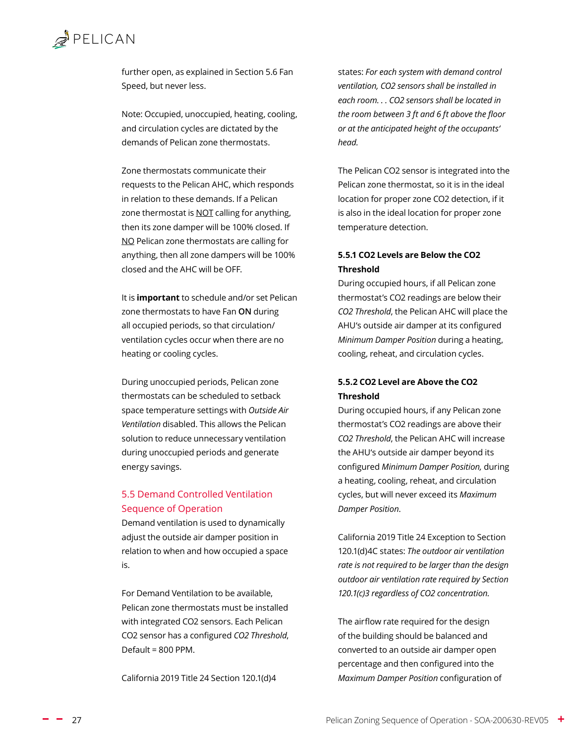<span id="page-26-0"></span>further open, as explained in Section [5.6 Fan](#page-27-2)  [Speed](#page-27-2), but never less.

Note: Occupied, unoccupied, heating, cooling, and circulation cycles are dictated by the demands of Pelican zone thermostats.

Zone thermostats communicate their requests to the Pelican AHC, which responds in relation to these demands. If a Pelican zone thermostat is **NOT** calling for anything, then its zone damper will be 100% closed. If NO Pelican zone thermostats are calling for anything, then all zone dampers will be 100% closed and the AHC will be OFF.

It is **important** to schedule and/or set Pelican zone thermostats to have Fan **ON** during all occupied periods, so that circulation/ ventilation cycles occur when there are no heating or cooling cycles.

During unoccupied periods, Pelican zone thermostats can be scheduled to setback space temperature settings with *Outside Air Ventilation* disabled. This allows the Pelican solution to reduce unnecessary ventilation during unoccupied periods and generate energy savings.

#### <span id="page-26-1"></span>5.5 Demand Controlled Ventilation Sequence of Operation

Demand ventilation is used to dynamically adjust the outside air damper position in relation to when and how occupied a space is.

For Demand Ventilation to be available, Pelican zone thermostats must be installed with integrated CO2 sensors. Each Pelican CO2 sensor has a configured *CO2 Threshold*, Default = 800 PPM.

California 2019 Title 24 Section 120.1(d)4

states: *For each system with demand control ventilation, CO2 sensors shall be installed in each room. . . CO2 sensors shall be located in the room between 3 ft and 6 ft above the floor or at the anticipated height of the occupants' head.* 

The Pelican CO2 sensor is integrated into the Pelican zone thermostat, so it is in the ideal location for proper zone CO2 detection, if it is also in the ideal location for proper zone temperature detection.

#### **5.5.1 CO2 Levels are Below the CO2 Threshold**

During occupied hours, if all Pelican zone thermostat's CO2 readings are below their *CO2 Threshold*, the Pelican AHC will place the AHU's outside air damper at its configured *Minimum Damper Position* during a heating, cooling, reheat, and circulation cycles.

#### **5.5.2 CO2 Level are Above the CO2 Threshold**

During occupied hours, if any Pelican zone thermostat's CO2 readings are above their *CO2 Threshold*, the Pelican AHC will increase the AHU's outside air damper beyond its configured *Minimum Damper Position,* during a heating, cooling, reheat, and circulation cycles, but will never exceed its *Maximum Damper Position*.

California 2019 Title 24 Exception to Section 120.1(d)4C states: *The outdoor air ventilation rate is not required to be larger than the design outdoor air ventilation rate required by Section 120.1(c)3 regardless of CO2 concentration.*

The airflow rate required for the design of the building should be balanced and converted to an outside air damper open percentage and then configured into the *Maximum Damper Position* configuration of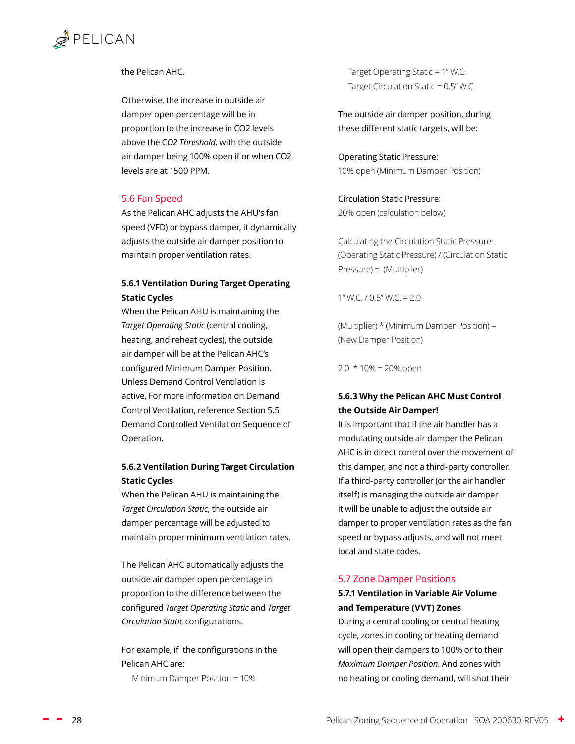#### <span id="page-27-0"></span>the Pelican AHC.

Otherwise, the increase in outside air damper open percentage will be in proportion to the increase in CO2 levels above the C*O2 Threshold*, with the outside air damper being 100% open if or when CO2 levels are at 1500 PPM.

#### <span id="page-27-2"></span>5.6 Fan Speed

As the Pelican AHC adjusts the AHU's fan speed (VFD) or bypass damper, it dynamically adjusts the outside air damper position to maintain proper ventilation rates.

#### **5.6.1 Ventilation During Target Operating Static Cycles**

When the Pelican AHU is maintaining the *Target Operating Static* (central cooling, heating, and reheat cycles), the outside air damper will be at the Pelican AHC's configured Minimum Damper Position. Unless Demand Control Ventilation is active, For more information on Demand Control Ventilation, reference Section [5.5](#page-26-1)  [Demand Controlled Ventilation Sequence of](#page-26-1)  [Operation.](#page-26-1)

#### **5.6.2 Ventilation During Target Circulation Static Cycles**

When the Pelican AHU is maintaining the *Target Circulation Static*, the outside air damper percentage will be adjusted to maintain proper minimum ventilation rates.

The Pelican AHC automatically adjusts the outside air damper open percentage in proportion to the difference between the configured *Target Operating Static* and *Target Circulation Static* configurations.

For example, if the configurations in the Pelican AHC are:

Minimum Damper Position = 10%

 Target Operating Static = 1" W.C. Target Circulation Static = 0.5" W.C.

The outside air damper position, during these different static targets, will be:

Operating Static Pressure: 10% open (Minimum Damper Position)

Circulation Static Pressure: 20% open (calculation below)

Calculating the Circulation Static Pressure: (Operating Static Pressure) / (Circulation Static Pressure) = (Multiplier)

1" W.C.  $/$  0.5" W.C. = 2.0

(Multiplier) \* (Minimum Damper Position) = (New Damper Position)

 $2.0 * 10\% = 20\%$  open

#### <span id="page-27-1"></span>**5.6.3 Why the Pelican AHC Must Control the Outside Air Damper!**

It is important that if the air handler has a modulating outside air damper the Pelican AHC is in direct control over the movement of this damper, and not a third-party controller. If a third-party controller (or the air handler itself) is managing the outside air damper it will be unable to adjust the outside air damper to proper ventilation rates as the fan speed or bypass adjusts, and will not meet local and state codes.

#### <span id="page-27-3"></span>5.7 Zone Damper Positions

#### **5.7.1 Ventilation in Variable Air Volume and Temperature (VVT) Zones**

During a central cooling or central heating cycle, zones in cooling or heating demand will open their dampers to 100% or to their *Maximum Damper Position*. And zones with no heating or cooling demand, will shut their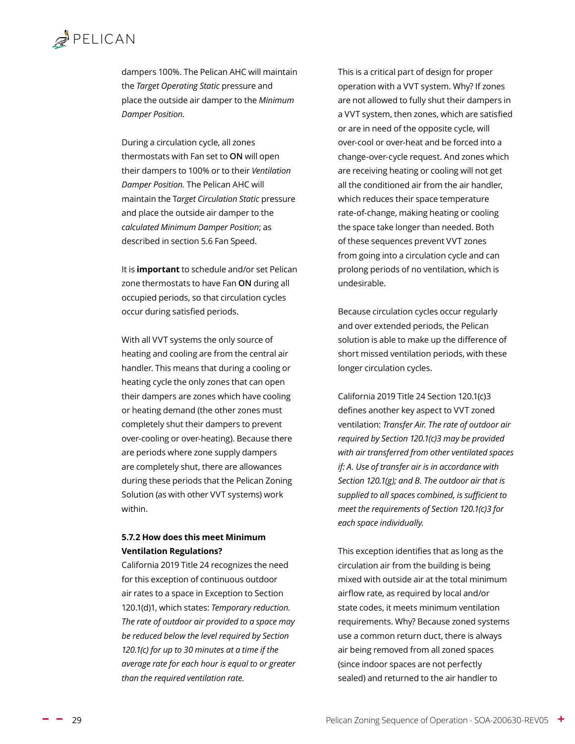<span id="page-28-0"></span>dampers 100%. The Pelican AHC will maintain the *[Target Operating Static](#page-23-1)* pressure and place the outside air damper to the *Minimum Damper Position*.

During a circulation cycle, all zones thermostats with Fan set to **ON** will open their dampers to 100% or to their *Ventilation Damper Position.* The Pelican AHC will maintain the T*[arget Circulation Static](#page-23-3)* pressure and place the outside air damper to the *calculated Minimum Damper Position*; as described in section [5.6 Fan Speed](#page-27-2).

It is **important** to schedule and/or set Pelican zone thermostats to have Fan **ON** during all occupied periods, so that circulation cycles occur during satisfied periods.

With all VVT systems the only source of heating and cooling are from the central air handler. This means that during a cooling or heating cycle the only zones that can open their dampers are zones which have cooling or heating demand (the other zones must completely shut their dampers to prevent over-cooling or over-heating). Because there are periods where zone supply dampers are completely shut, there are allowances during these periods that the Pelican Zoning Solution (as with other VVT systems) work within.

#### **5.7.2 How does this meet Minimum Ventilation Regulations?**

California 2019 Title 24 recognizes the need for this exception of continuous outdoor air rates to a space in Exception to Section 120.1(d)1, which states: *Temporary reduction. The rate of outdoor air provided to a space may be reduced below the level required by Section 120.1(c) for up to 30 minutes at a time if the average rate for each hour is equal to or greater than the required ventilation rate.*

This is a critical part of design for proper operation with a VVT system. Why? If zones are not allowed to fully shut their dampers in a VVT system, then zones, which are satisfied or are in need of the opposite cycle, will over-cool or over-heat and be forced into a change-over-cycle request. And zones which are receiving heating or cooling will not get all the conditioned air from the air handler, which reduces their space temperature rate-of-change, making heating or cooling the space take longer than needed. Both of these sequences prevent VVT zones from going into a circulation cycle and can prolong periods of no ventilation, which is undesirable.

Because circulation cycles occur regularly and over extended periods, the Pelican solution is able to make up the difference of short missed ventilation periods, with these longer circulation cycles.

California 2019 Title 24 Section 120.1(c)3 defines another key aspect to VVT zoned ventilation: *Transfer Air. The rate of outdoor air required by Section 120.1(c)3 may be provided with air transferred from other ventilated spaces if: A. Use of transfer air is in accordance with Section 120.1(g); and B. The outdoor air that is supplied to all spaces combined, is sufficient to meet the requirements of Section 120.1(c)3 for each space individually.*

This exception identifies that as long as the circulation air from the building is being mixed with outside air at the total minimum airflow rate, as required by local and/or state codes, it meets minimum ventilation requirements. Why? Because zoned systems use a common return duct, there is always air being removed from all zoned spaces (since indoor spaces are not perfectly sealed) and returned to the air handler to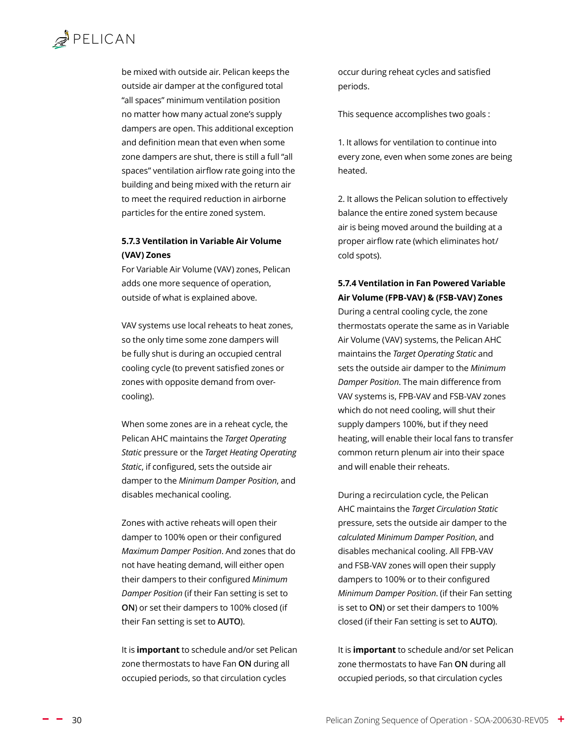<span id="page-29-0"></span>be mixed with outside air. Pelican keeps the outside air damper at the configured total "all spaces" minimum ventilation position no matter how many actual zone's supply dampers are open. This additional exception and definition mean that even when some zone dampers are shut, there is still a full "all spaces" ventilation airflow rate going into the building and being mixed with the return air to meet the required reduction in airborne particles for the entire zoned system.

#### **5.7.3 Ventilation in Variable Air Volume (VAV) Zones**

For Variable Air Volume (VAV) zones, Pelican adds one more sequence of operation, outside of what is explained above.

VAV systems use local reheats to heat zones, so the only time some zone dampers will be fully shut is during an occupied central cooling cycle (to prevent satisfied zones or zones with opposite demand from overcooling).

When some zones are in a reheat cycle, the Pelican AHC maintains the *Target Operating Static* pressure or the *Target Heating Operating Static*, if configured, sets the outside air damper to the *Minimum Damper Position*, and disables mechanical cooling.

Zones with active reheats will open their damper to 100% open or their configured *Maximum Damper Position*. And zones that do not have heating demand, will either open their dampers to their configured *Minimum Damper Position* (if their Fan setting is set to **ON**) or set their dampers to 100% closed (if their Fan setting is set to **AUTO**).

It is **important** to schedule and/or set Pelican zone thermostats to have Fan **ON** during all occupied periods, so that circulation cycles

occur during reheat cycles and satisfied periods.

This sequence accomplishes two goals :

1. It allows for ventilation to continue into every zone, even when some zones are being heated.

2. It allows the Pelican solution to effectively balance the entire zoned system because air is being moved around the building at a proper airflow rate (which eliminates hot/ cold spots).

#### **5.7.4 Ventilation in Fan Powered Variable Air Volume (FPB-VAV) & (FSB-VAV) Zones**

During a central cooling cycle, the zone thermostats operate the same as in Variable Air Volume (VAV) systems, the Pelican AHC maintains the *Target Operating Static* and sets the outside air damper to the *Minimum Damper Position*. The main difference from VAV systems is, FPB-VAV and FSB-VAV zones which do not need cooling, will shut their supply dampers 100%, but if they need heating, will enable their local fans to transfer common return plenum air into their space and will enable their reheats.

During a recirculation cycle, the Pelican AHC maintains the *Target Circulation Static* pressure, sets the outside air damper to the *calculated Minimum Damper Position*, and disables mechanical cooling. All FPB-VAV and FSB-VAV zones will open their supply dampers to 100% or to their configured *Minimum Damper Position*. (if their Fan setting is set to **ON**) or set their dampers to 100% closed (if their Fan setting is set to **AUTO**).

It is **important** to schedule and/or set Pelican zone thermostats to have Fan **ON** during all occupied periods, so that circulation cycles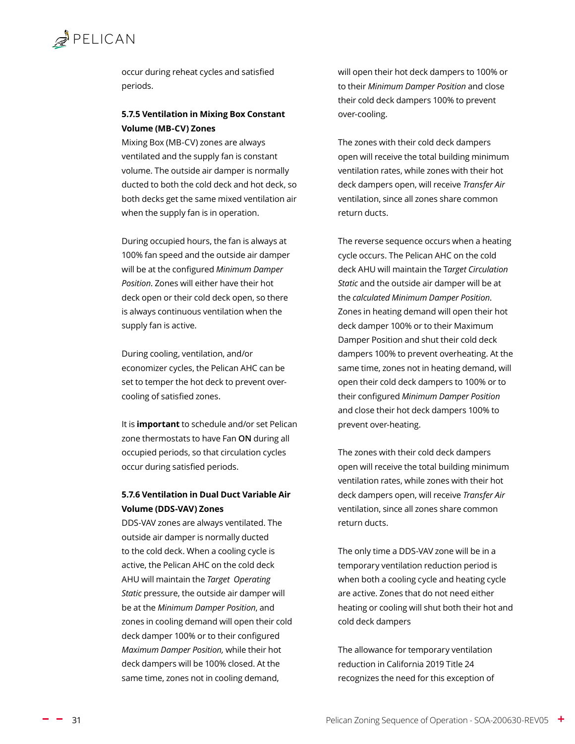<span id="page-30-0"></span>

occur during reheat cycles and satisfied periods.

#### **5.7.5 Ventilation in Mixing Box Constant Volume (MB-CV) Zones**

Mixing Box (MB-CV) zones are always ventilated and the supply fan is constant volume. The outside air damper is normally ducted to both the cold deck and hot deck, so both decks get the same mixed ventilation air when the supply fan is in operation.

During occupied hours, the fan is always at 100% fan speed and the outside air damper will be at the configured *Minimum Damper Position*. Zones will either have their hot deck open or their cold deck open, so there is always continuous ventilation when the supply fan is active.

During cooling, ventilation, and/or economizer cycles, the Pelican AHC can be set to temper the hot deck to prevent overcooling of satisfied zones.

It is **important** to schedule and/or set Pelican zone thermostats to have Fan **ON** during all occupied periods, so that circulation cycles occur during satisfied periods.

#### **5.7.6 Ventilation in Dual Duct Variable Air Volume (DDS-VAV) Zones**

DDS-VAV zones are always ventilated. The outside air damper is normally ducted to the cold deck. When a cooling cycle is active, the Pelican AHC on the cold deck AHU will maintain the *Target Operating Static* pressure, the outside air damper will be at the *Minimum Damper Position*, and zones in cooling demand will open their cold deck damper 100% or to their configured *Maximum Damper Position,* while their hot deck dampers will be 100% closed. At the same time, zones not in cooling demand,

will open their hot deck dampers to 100% or to their *Minimum Damper Position* and close their cold deck dampers 100% to prevent over-cooling.

The zones with their cold deck dampers open will receive the total building minimum ventilation rates, while zones with their hot deck dampers open, will receive *Transfer Air* ventilation, since all zones share common return ducts.

The reverse sequence occurs when a heating cycle occurs. The Pelican AHC on the cold deck AHU will maintain the T*arget Circulation Static* and the outside air damper will be at the *calculated Minimum Damper Position*. Zones in heating demand will open their hot deck damper 100% or to their Maximum Damper Position and shut their cold deck dampers 100% to prevent overheating. At the same time, zones not in heating demand, will open their cold deck dampers to 100% or to their configured *Minimum Damper Position*  and close their hot deck dampers 100% to prevent over-heating.

The zones with their cold deck dampers open will receive the total building minimum ventilation rates, while zones with their hot deck dampers open, will receive *Transfer Air* ventilation, since all zones share common return ducts.

The only time a DDS-VAV zone will be in a temporary ventilation reduction period is when both a cooling cycle and heating cycle are active. Zones that do not need either heating or cooling will shut both their hot and cold deck dampers

The allowance for temporary ventilation reduction in California 2019 Title 24 recognizes the need for this exception of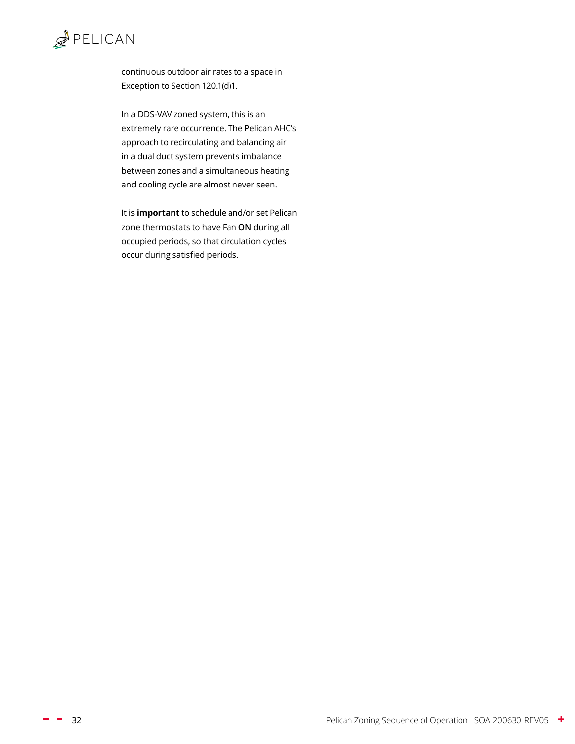

continuous outdoor air rates to a space in Exception to Section 120.1(d)1.

In a DDS-VAV zoned system, this is an extremely rare occurrence. The Pelican AHC's approach to recirculating and balancing air in a dual duct system prevents imbalance between zones and a simultaneous heating and cooling cycle are almost never seen.

It is **important** to schedule and/or set Pelican zone thermostats to have Fan **ON** during all occupied periods, so that circulation cycles occur during satisfied periods.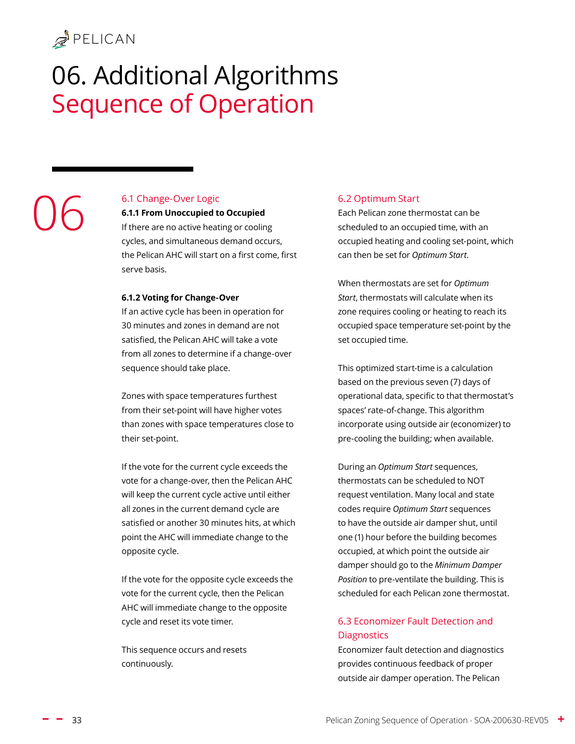# <span id="page-32-0"></span>06. Additional Algorithms Sequence of Operation

# 06

#### <span id="page-32-1"></span>6.1 Change-Over Logic

**6.1.1 From Unoccupied to Occupied**

If there are no active heating or cooling cycles, and simultaneous demand occurs, the Pelican AHC will start on a first come, first serve basis.

#### **6.1.2 Voting for Change-Over**

If an active cycle has been in operation for 30 minutes and zones in demand are not satisfied, the Pelican AHC will take a vote from all zones to determine if a change-over sequence should take place.

Zones with space temperatures furthest from their set-point will have higher votes than zones with space temperatures close to their set-point.

If the vote for the current cycle exceeds the vote for a change-over, then the Pelican AHC will keep the current cycle active until either all zones in the current demand cycle are satisfied or another 30 minutes hits, at which point the AHC will immediate change to the opposite cycle.

If the vote for the opposite cycle exceeds the vote for the current cycle, then the Pelican AHC will immediate change to the opposite cycle and reset its vote timer.

This sequence occurs and resets continuously.

#### 6.2 Optimum Start

Each Pelican zone thermostat can be scheduled to an occupied time, with an occupied heating and cooling set-point, which can then be set for *Optimum Start*.

When thermostats are set for *Optimum Start*, thermostats will calculate when its zone requires cooling or heating to reach its occupied space temperature set-point by the set occupied time.

This optimized start-time is a calculation based on the previous seven (7) days of operational data, specific to that thermostat's spaces' rate-of-change. This algorithm incorporate using outside air (economizer) to pre-cooling the building; when available.

During an *Optimum Start* sequences, thermostats can be scheduled to NOT request ventilation. Many local and state codes require *Optimum Start* sequences to have the outside air damper shut, until one (1) hour before the building becomes occupied, at which point the outside air damper should go to the *Minimum Damper Position* to pre-ventilate the building. This is scheduled for each Pelican zone thermostat.

#### <span id="page-32-2"></span>6.3 Economizer Fault Detection and **Diagnostics**

Economizer fault detection and diagnostics provides continuous feedback of proper outside air damper operation. The Pelican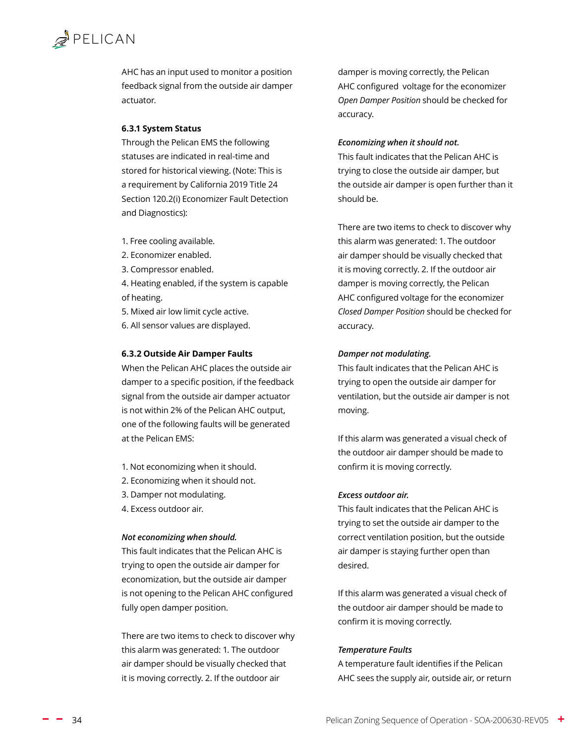<span id="page-33-0"></span>AHC has an input used to monitor a position feedback signal from the outside air damper actuator.

#### **6.3.1 System Status**

Through the Pelican EMS the following statuses are indicated in real-time and stored for historical viewing. (Note: This is a requirement by California 2019 Title 24 Section 120.2(i) Economizer Fault Detection and Diagnostics):

- 1. Free cooling available.
- 2. Economizer enabled.
- 3. Compressor enabled.

4. Heating enabled, if the system is capable of heating.

- 5. Mixed air low limit cycle active.
- 6. All sensor values are displayed.

#### **6.3.2 Outside Air Damper Faults**

When the Pelican AHC places the outside air damper to a specific position, if the feedback signal from the outside air damper actuator is not within 2% of the Pelican AHC output, one of the following faults will be generated at the Pelican EMS:

- 1. Not economizing when it should.
- 2. Economizing when it should not.
- 3. Damper not modulating.
- 4. Excess outdoor air.

#### *Not economizing when should.*

This fault indicates that the Pelican AHC is trying to open the outside air damper for economization, but the outside air damper is not opening to the Pelican AHC configured fully open damper position.

There are two items to check to discover why this alarm was generated: 1. The outdoor air damper should be visually checked that it is moving correctly. 2. If the outdoor air

damper is moving correctly, the Pelican AHC configured voltage for the economizer *Open Damper Position* should be checked for accuracy.

#### *Economizing when it should not.*

This fault indicates that the Pelican AHC is trying to close the outside air damper, but the outside air damper is open further than it should be.

There are two items to check to discover why this alarm was generated: 1. The outdoor air damper should be visually checked that it is moving correctly. 2. If the outdoor air damper is moving correctly, the Pelican AHC configured voltage for the economizer *Closed Damper Position* should be checked for accuracy.

#### *Damper not modulating.*

This fault indicates that the Pelican AHC is trying to open the outside air damper for ventilation, but the outside air damper is not moving.

If this alarm was generated a visual check of the outdoor air damper should be made to confirm it is moving correctly.

#### *Excess outdoor air.*

This fault indicates that the Pelican AHC is trying to set the outside air damper to the correct ventilation position, but the outside air damper is staying further open than desired.

If this alarm was generated a visual check of the outdoor air damper should be made to confirm it is moving correctly.

#### *Temperature Faults*

A temperature fault identifies if the Pelican AHC sees the supply air, outside air, or return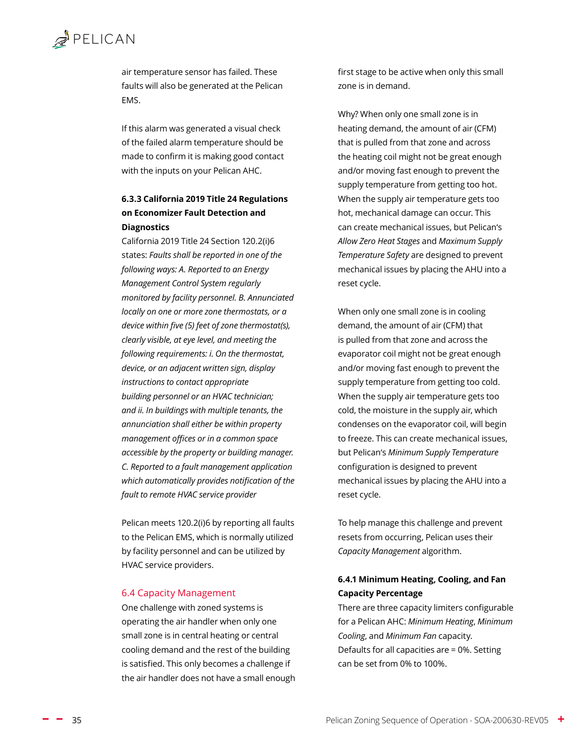<span id="page-34-0"></span>air temperature sensor has failed. These faults will also be generated at the Pelican EMS.

If this alarm was generated a visual check of the failed alarm temperature should be made to confirm it is making good contact with the inputs on your Pelican AHC.

#### **6.3.3 California 2019 Title 24 Regulations on Economizer Fault Detection and Diagnostics**

California 2019 Title 24 Section 120.2(i)6 states: *Faults shall be reported in one of the following ways: A. Reported to an Energy Management Control System regularly monitored by facility personnel. B. Annunciated locally on one or more zone thermostats, or a device within five (5) feet of zone thermostat(s), clearly visible, at eye level, and meeting the following requirements: i. On the thermostat, device, or an adjacent written sign, display instructions to contact appropriate building personnel or an HVAC technician; and ii. In buildings with multiple tenants, the annunciation shall either be within property management offices or in a common space accessible by the property or building manager. C. Reported to a fault management application which automatically provides notification of the fault to remote HVAC service provider*

Pelican meets 120.2(i)6 by reporting all faults to the Pelican EMS, which is normally utilized by facility personnel and can be utilized by HVAC service providers.

#### <span id="page-34-1"></span>6.4 Capacity Management

One challenge with zoned systems is operating the air handler when only one small zone is in central heating or central cooling demand and the rest of the building is satisfied. This only becomes a challenge if the air handler does not have a small enough first stage to be active when only this small zone is in demand.

Why? When only one small zone is in heating demand, the amount of air (CFM) that is pulled from that zone and across the heating coil might not be great enough and/or moving fast enough to prevent the supply temperature from getting too hot. When the supply air temperature gets too hot, mechanical damage can occur. This can create mechanical issues, but Pelican's *[Allow Zero Heat Stages](#page-19-2)* and *[Maximum Supply](#page-20-1)  [Temperature Safety](#page-20-1)* are designed to prevent mechanical issues by placing the AHU into a reset cycle.

When only one small zone is in cooling demand, the amount of air (CFM) that is pulled from that zone and across the evaporator coil might not be great enough and/or moving fast enough to prevent the supply temperature from getting too cold. When the supply air temperature gets too cold, the moisture in the supply air, which condenses on the evaporator coil, will begin to freeze. This can create mechanical issues, but Pelican's *Minimum [Supply Temperature](#page-20-1)*  configuration is designed to prevent mechanical issues by placing the AHU into a reset cycle.

To help manage this challenge and prevent resets from occurring, Pelican uses their *Capacity Management* algorithm.

#### **6.4.1 Minimum Heating, Cooling, and Fan Capacity Percentage**

There are three capacity limiters configurable for a Pelican AHC: *Minimum Heating*, *Minimum Cooling*, and *Minimum Fan* capacity. Defaults for all capacities are = 0%. Setting can be set from 0% to 100%.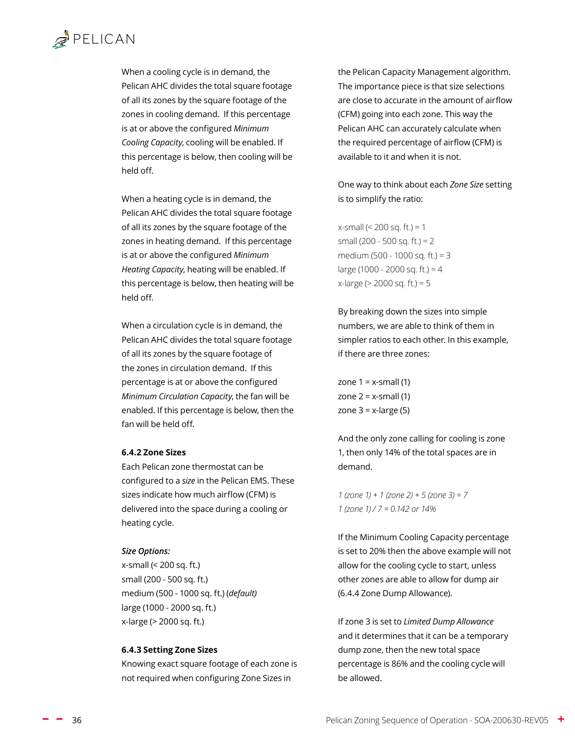## <span id="page-35-0"></span> $\mathbb{Z}$  PELICAN

When a cooling cycle is in demand, the Pelican AHC divides the total square footage of all its zones by the square footage of the zones in cooling demand. If this percentage is at or above the configured *Minimum Cooling Capacity*, cooling will be enabled. If this percentage is below, then cooling will be held off.

When a heating cycle is in demand, the Pelican AHC divides the total square footage of all its zones by the square footage of the zones in heating demand. If this percentage is at or above the configured *Minimum Heating Capacity*, heating will be enabled. If this percentage is below, then heating will be held off.

When a circulation cycle is in demand, the Pelican AHC divides the total square footage of all its zones by the square footage of the zones in circulation demand. If this percentage is at or above the configured *Minimum Circulation Capacity*, the fan will be enabled. If this percentage is below, then the fan will be held off.

#### **6.4.2 Zone Sizes**

Each Pelican zone thermostat can be configured to a *size* in the Pelican EMS. These sizes indicate how much airflow (CFM) is delivered into the space during a cooling or heating cycle.

#### *Size Options:*

x-small (< 200 sq. ft.) small (200 - 500 sq. ft.) medium (500 - 1000 sq. ft.) (*default)* large (1000 - 2000 sq. ft.) x-large (> 2000 sq. ft.)

#### **6.4.3 Setting Zone Sizes**

Knowing exact square footage of each zone is not required when configuring Zone Sizes in

the Pelican Capacity Management algorithm. The importance piece is that size selections are close to accurate in the amount of airflow (CFM) going into each zone. This way the Pelican AHC can accurately calculate when the required percentage of airflow (CFM) is available to it and when it is not.

One way to think about each *Zone Size* setting is to simplify the ratio:

x-small (< 200 sq. ft.) = 1 small (200 - 500 sq. ft.) = 2 medium (500 - 1000 sq. ft.) = 3 large (1000 - 2000 sq. ft.) =  $4$ x-large (> 2000 sq. ft.) = 5

By breaking down the sizes into simple numbers, we are able to think of them in simpler ratios to each other. In this example, if there are three zones:

zone  $1 = x$ -small  $(1)$ zone  $2 = x$ -small (1) zone  $3 = x$ -large (5)

And the only zone calling for cooling is zone 1, then only 14% of the total spaces are in demand.

*1 (zone 1) + 1 (zone 2) + 5 (zone 3) = 7 1 (zone 1) / 7 = 0.142 or 14%*

If the Minimum Cooling Capacity percentage is set to 20% then the above example will not allow for the cooling cycle to start, unless other zones are able to allow for dump air [\(6.4.4 Zone Dump Allowance\).](#page-36-1)

If zone 3 is set to *[Limited Dump Allowance](#page-36-2)* and it determines that it can be a temporary dump zone, then the new total space percentage is 86% and the cooling cycle will be allowed.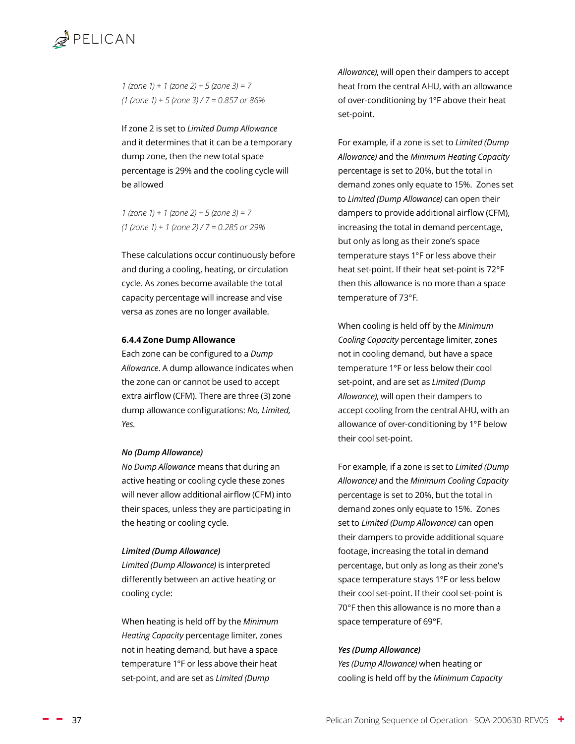<span id="page-36-0"></span>

*1 (zone 1) + 1 (zone 2) + 5 (zone 3) = 7 (1 (zone 1) + 5 (zone 3) / 7 = 0.857 or 86%*

If zone 2 is set to *[Limited Dump Allowance](#page-36-2)* and it determines that it can be a temporary dump zone, then the new total space percentage is 29% and the cooling cycle will be allowed

*1 (zone 1) + 1 (zone 2) + 5 (zone 3) = 7 (1 (zone 1) + 1 (zone 2) / 7 = 0.285 or 29%*

These calculations occur continuously before and during a cooling, heating, or circulation cycle. As zones become available the total capacity percentage will increase and vise versa as zones are no longer available.

#### <span id="page-36-1"></span>**6.4.4 Zone Dump Allowance**

Each zone can be configured to a *Dump Allowance*. A dump allowance indicates when the zone can or cannot be used to accept extra airflow (CFM). There are three (3) zone dump allowance configurations: *No, Limited, Yes.*

#### *No (Dump Allowance)*

*No Dump Allowance* means that during an active heating or cooling cycle these zones will never allow additional airflow (CFM) into their spaces, unless they are participating in the heating or cooling cycle.

#### <span id="page-36-2"></span>*Limited (Dump Allowance)*

*Limited (Dump Allowance)* is interpreted differently between an active heating or cooling cycle:

When heating is held off by the *Minimum Heating Capacity* percentage limiter, zones not in heating demand, but have a space temperature 1°F or less above their heat set-point, and are set as *Limited (Dump* 

*Allowance)*, will open their dampers to accept heat from the central AHU, with an allowance of over-conditioning by 1°F above their heat set-point.

For example, if a zone is set to *Limited (Dump Allowance)* and the *Minimum Heating Capacity* percentage is set to 20%, but the total in demand zones only equate to 15%. Zones set to *Limited (Dump Allowance)* can open their dampers to provide additional airflow (CFM), increasing the total in demand percentage, but only as long as their zone's space temperature stays 1°F or less above their heat set-point. If their heat set-point is 72°F then this allowance is no more than a space temperature of 73°F.

When cooling is held off by the *Minimum Cooling Capacity* percentage limiter, zones not in cooling demand, but have a space temperature 1°F or less below their cool set-point, and are set as *Limited (Dump Allowance)*, will open their dampers to accept cooling from the central AHU, with an allowance of over-conditioning by 1°F below their cool set-point.

For example, if a zone is set to *Limited (Dump Allowance)* and the *Minimum Cooling Capacity* percentage is set to 20%, but the total in demand zones only equate to 15%. Zones set to *Limited (Dump Allowance)* can open their dampers to provide additional square footage, increasing the total in demand percentage, but only as long as their zone's space temperature stays 1°F or less below their cool set-point. If their cool set-point is 70°F then this allowance is no more than a space temperature of 69°F.

#### *Yes (Dump Allowance)*

*Yes (Dump Allowance)* when heating or cooling is held off by the *Minimum Capacity*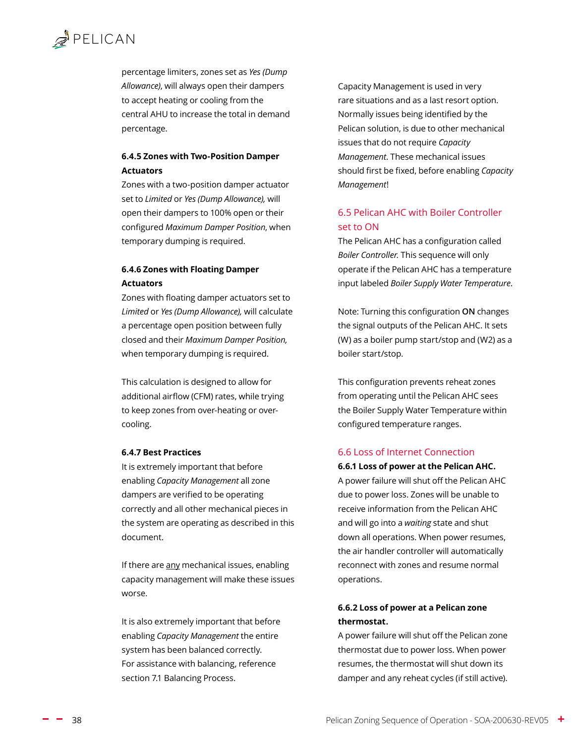<span id="page-37-0"></span>percentage limiters, zones set as *Yes (Dump Allowance)*, will always open their dampers to accept heating or cooling from the central AHU to increase the total in demand percentage.

#### **6.4.5 Zones with Two-Position Damper Actuators**

Zones with a two-position damper actuator set to *Limited* or *Yes (Dump Allowance),* will open their dampers to 100% open or their configured *Maximum Damper Position*, when temporary dumping is required.

#### **6.4.6 Zones with Floating Damper Actuators**

Zones with floating damper actuators set to *Limited* or *Yes (Dump Allowance),* will calculate a percentage open position between fully closed and their *Maximum Damper Position,*  when temporary dumping is required.

This calculation is designed to allow for additional airflow (CFM) rates, while trying to keep zones from over-heating or overcooling.

#### **6.4.7 Best Practices**

It is extremely important that before enabling *Capacity Management* all zone dampers are verified to be operating correctly and all other mechanical pieces in the system are operating as described in this document.

If there are any mechanical issues, enabling capacity management will make these issues worse.

It is also extremely important that before enabling *Capacity Management* the entire system has been balanced correctly. For assistance with balancing, reference section [7.1 Balancing Process.](#page-39-2)

Capacity Management is used in very rare situations and as a last resort option. Normally issues being identified by the Pelican solution, is due to other mechanical issues that do not require *Capacity Management*. These mechanical issues should first be fixed, before enabling *Capacity Management*!

#### 6.5 Pelican AHC with Boiler Controller set to ON

The Pelican AHC has a configuration called *Boiler Controller.* This sequence will only operate if the Pelican AHC has a temperature input labeled *Boiler Supply Water Temperature*.

Note: Turning this configuration **ON** changes the signal outputs of the Pelican AHC. It sets (W) as a boiler pump start/stop and (W2) as a boiler start/stop.

This configuration prevents reheat zones from operating until the Pelican AHC sees the Boiler Supply Water Temperature within configured temperature ranges.

#### 6.6 Loss of Internet Connection

#### **6.6.1 Loss of power at the Pelican AHC.**

A power failure will shut off the Pelican AHC due to power loss. Zones will be unable to receive information from the Pelican AHC and will go into a *waiting* state and shut down all operations. When power resumes, the air handler controller will automatically reconnect with zones and resume normal operations.

#### **6.6.2 Loss of power at a Pelican zone thermostat.**

A power failure will shut off the Pelican zone thermostat due to power loss. When power resumes, the thermostat will shut down its damper and any reheat cycles (if still active).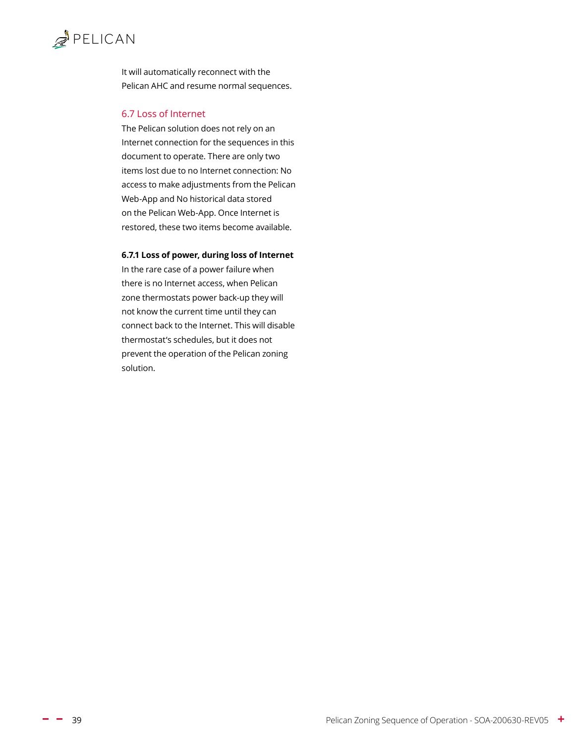<span id="page-38-0"></span>It will automatically reconnect with the Pelican AHC and resume normal sequences.

#### 6.7 Loss of Internet

The Pelican solution does not rely on an Internet connection for the sequences in this document to operate. There are only two items lost due to no Internet connection: No access to make adjustments from the Pelican Web-App and No historical data stored on the Pelican Web-App. Once Internet is restored, these two items become available.

#### **6.7.1 Loss of power, during loss of Internet**

In the rare case of a power failure when there is no Internet access, when Pelican zone thermostats power back-up they will not know the current time until they can connect back to the Internet. This will disable thermostat's schedules, but it does not prevent the operation of the Pelican zoning solution.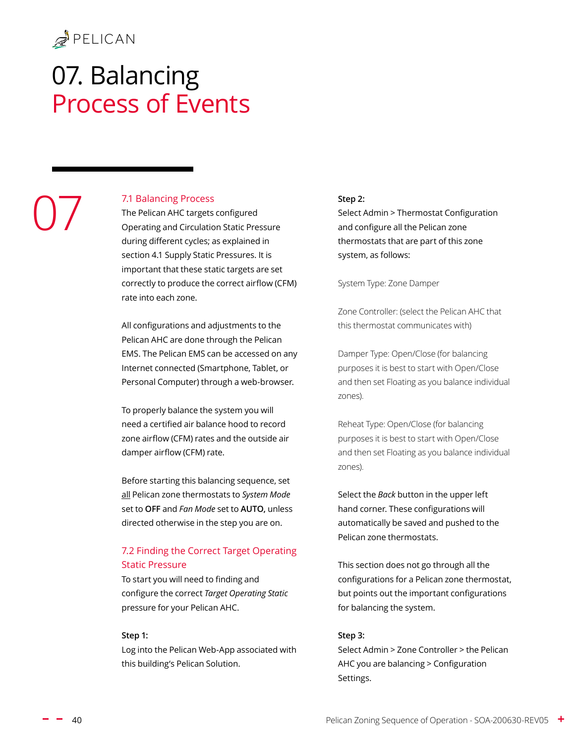07

# <span id="page-39-0"></span>07. Balancing Process of Events

#### <span id="page-39-2"></span>7.1 Balancing Process

The Pelican AHC targets configured Operating and Circulation Static Pressure during different cycles; as explained in section [4.1 Supply Static Pressures.](#page-23-4) It is important that these static targets are set correctly to produce the correct airflow (CFM) rate into each zone.

All configurations and adjustments to the Pelican AHC are done through the Pelican EMS. The Pelican EMS can be accessed on any Internet connected (Smartphone, Tablet, or Personal Computer) through a web-browser.

To properly balance the system you will need a certified air balance hood to record zone airflow (CFM) rates and the outside air damper airflow (CFM) rate.

Before starting this balancing sequence, set all Pelican zone thermostats to *System Mode* set to **OFF** and *Fan Mode* set to **AUTO,** unless directed otherwise in the step you are on.

#### <span id="page-39-1"></span>7.2 Finding the Correct Target Operating Static Pressure

To start you will need to finding and configure the correct *Target Operating Static* pressure for your Pelican AHC.

#### **Step 1:**

Log into the Pelican Web-App associated with this building's Pelican Solution.

#### **Step 2:**

Select Admin > Thermostat Configuration and configure all the Pelican zone thermostats that are part of this zone system, as follows:

System Type: Zone Damper

Zone Controller: (select the Pelican AHC that this thermostat communicates with)

Damper Type: Open/Close (for balancing purposes it is best to start with Open/Close and then set Floating as you balance individual zones).

Reheat Type: Open/Close (for balancing purposes it is best to start with Open/Close and then set Floating as you balance individual zones).

Select the *Back* button in the upper left hand corner. These configurations will automatically be saved and pushed to the Pelican zone thermostats.

This section does not go through all the configurations for a Pelican zone thermostat, but points out the important configurations for balancing the system.

#### **Step 3:**

Select Admin > Zone Controller > the Pelican AHC you are balancing > Configuration Settings.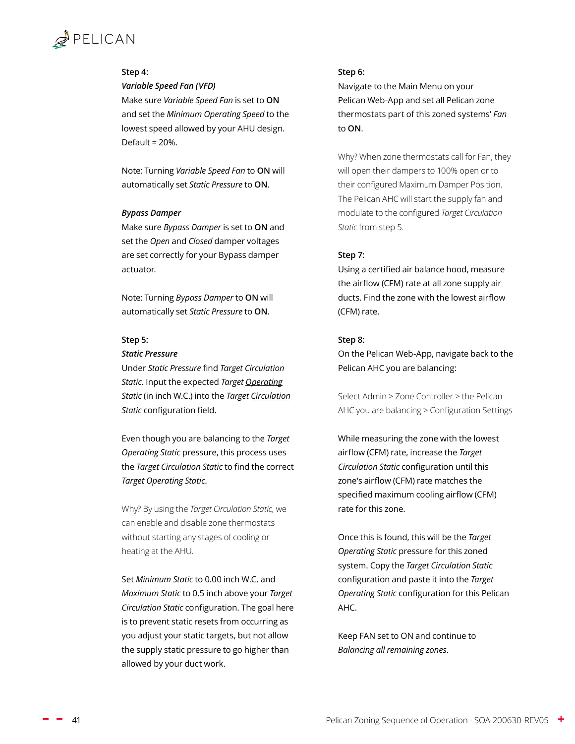#### **Step 4:**

#### *Variable Speed Fan (VFD)*

Make sure *Variable Speed Fan* is set to **ON**  and set the *Minimum Operating Speed* to the lowest speed allowed by your AHU design. Default = 20%.

Note: Turning *Variable Speed Fan* to **ON** will automatically set *Static Pressure* to **ON**.

#### *Bypass Damper*

Make sure *Bypass Damper* is set to **ON** and set the *Open* and *Closed* damper voltages are set correctly for your Bypass damper actuator.

Note: Turning *Bypass Damper* to **ON** will automatically set *Static Pressure* to **ON**.

#### **Step 5:**

#### *Static Pressure*

Under *Static Pressure* find *Target Circulation Static.* Input the expected *Target Operating Static* (in inch W.C.) into the *Target Circulation Static* configuration field.

Even though you are balancing to the *Target Operating Static* pressure, this process uses the *Target Circulation Static* to find the correct *Target Operating Static*.

Why? By using the *Target Circulation Static,* we can enable and disable zone thermostats without starting any stages of cooling or heating at the AHU.

Set *Minimum Static* to 0.00 inch W.C. and *Maximum Static* to 0.5 inch above your *Target Circulation Static* configuration. The goal here is to prevent static resets from occurring as you adjust your static targets, but not allow the supply static pressure to go higher than allowed by your duct work.

#### **Step 6:**

Navigate to the Main Menu on your Pelican Web-App and set all Pelican zone thermostats part of this zoned systems' *Fan* to **ON**.

Why? When zone thermostats call for Fan, they will open their dampers to 100% open or to their configured Maximum Damper Position. The Pelican AHC will start the supply fan and modulate to the configured *Target Circulation Static* from step 5.

#### **Step 7:**

Using a certified air balance hood, measure the airflow (CFM) rate at all zone supply air ducts. Find the zone with the lowest airflow (CFM) rate.

#### **Step 8:**

On the Pelican Web-App, navigate back to the Pelican AHC you are balancing:

Select Admin > Zone Controller > the Pelican AHC you are balancing > Configuration Settings

While measuring the zone with the lowest airflow (CFM) rate, increase the *Target Circulation Static* configuration until this zone's airflow (CFM) rate matches the specified maximum cooling airflow (CFM) rate for this zone.

Once this is found, this will be the *Target Operating Static* pressure for this zoned system. Copy the *Target Circulation Static* configuration and paste it into the *Target Operating Static* configuration for this Pelican AHC.

Keep FAN set to ON and continue to *Balancing all remaining zones*.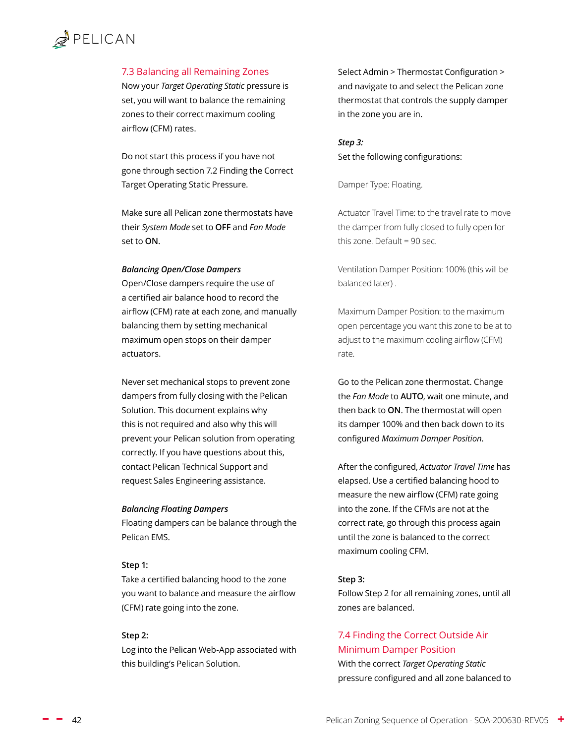## <span id="page-41-0"></span> $\mathbb{Z}$  PELICAN

#### <span id="page-41-1"></span>7.3 Balancing all Remaining Zones

Now your *Target Operating Static* pressure is set, you will want to balance the remaining zones to their correct maximum cooling airflow (CFM) rates.

Do not start this process if you have not gone through section [7.2 Finding the Correct](#page-39-1)  [Target Operating Static Pressure](#page-39-1).

Make sure all Pelican zone thermostats have their *System Mode* set to **OFF** and *Fan Mode* set to **ON**.

#### *Balancing Open/Close Dampers*

Open/Close dampers require the use of a certified air balance hood to record the airflow (CFM) rate at each zone, and manually balancing them by setting mechanical maximum open stops on their damper actuators.

Never set mechanical stops to prevent zone dampers from fully closing with the Pelican Solution. This document explains why this is not required and also why this will prevent your Pelican solution from operating correctly. If you have questions about this, contact Pelican Technical Support and request Sales Engineering assistance.

#### *Balancing Floating Dampers*

Floating dampers can be balance through the Pelican EMS.

#### **Step 1:**

Take a certified balancing hood to the zone you want to balance and measure the airflow (CFM) rate going into the zone.

#### **Step 2:**

Log into the Pelican Web-App associated with this building's Pelican Solution.

Select Admin > Thermostat Configuration > and navigate to and select the Pelican zone thermostat that controls the supply damper in the zone you are in.

*Step 3:* Set the following configurations:

Damper Type: Floating.

Actuator Travel Time: to the travel rate to move the damper from fully closed to fully open for this zone. Default = 90 sec.

Ventilation Damper Position: 100% (this will be balanced later) .

Maximum Damper Position: to the maximum open percentage you want this zone to be at to adjust to the maximum cooling airflow (CFM) rate.

Go to the Pelican zone thermostat. Change the *Fan Mode* to **AUTO**, wait one minute, and then back to **ON**. The thermostat will open its damper 100% and then back down to its configured *Maximum Damper Position*.

After the configured, *Actuator Travel Time* has elapsed. Use a certified balancing hood to measure the new airflow (CFM) rate going into the zone. If the CFMs are not at the correct rate, go through this process again until the zone is balanced to the correct maximum cooling CFM.

#### **Step 3:**

Follow Step 2 for all remaining zones, until all zones are balanced.

#### <span id="page-41-2"></span>7.4 Finding the Correct Outside Air Minimum Damper Position

With the correct *Target Operating Static* pressure configured and all zone balanced to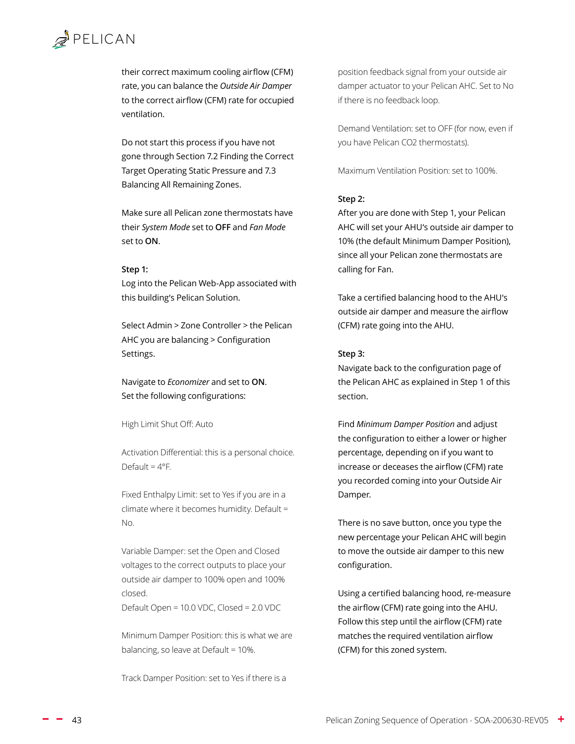their correct maximum cooling airflow (CFM) rate, you can balance the *Outside Air Damper* to the correct airflow (CFM) rate for occupied ventilation.

Do not start this process if you have not gone through Section [7.2 Finding the Correct](#page-39-1)  [Target Operating Static Pressure](#page-39-1) and [7.3](#page-41-1)  [Balancing All Remaining Zones.](#page-41-1)

Make sure all Pelican zone thermostats have their *System Mode* set to **OFF** and *Fan Mode* set to **ON**.

#### **Step 1:**

Log into the Pelican Web-App associated with this building's Pelican Solution.

Select Admin > Zone Controller > the Pelican AHC you are balancing > Configuration Settings.

#### Navigate to *Economizer* and set to **ON**. Set the following configurations:

High Limit Shut Off: Auto

Activation Differential: this is a personal choice. Default =  $4^{\circ}$ F.

Fixed Enthalpy Limit: set to Yes if you are in a climate where it becomes humidity. Default = No.

Variable Damper: set the Open and Closed voltages to the correct outputs to place your outside air damper to 100% open and 100% closed.

Default Open = 10.0 VDC, Closed = 2.0 VDC

Minimum Damper Position: this is what we are balancing, so leave at Default = 10%.

Track Damper Position: set to Yes if there is a

position feedback signal from your outside air damper actuator to your Pelican AHC. Set to No if there is no feedback loop.

Demand Ventilation: set to OFF (for now, even if you have Pelican CO2 thermostats).

Maximum Ventilation Position: set to 100%.

#### **Step 2:**

After you are done with Step 1, your Pelican AHC will set your AHU's outside air damper to 10% (the default Minimum Damper Position), since all your Pelican zone thermostats are calling for Fan.

Take a certified balancing hood to the AHU's outside air damper and measure the airflow (CFM) rate going into the AHU.

#### **Step 3:**

Navigate back to the configuration page of the Pelican AHC as explained in Step 1 of this section.

Find *Minimum Damper Position* and adjust the configuration to either a lower or higher percentage, depending on if you want to increase or deceases the airflow (CFM) rate you recorded coming into your Outside Air Damper.

There is no save button, once you type the new percentage your Pelican AHC will begin to move the outside air damper to this new configuration.

Using a certified balancing hood, re-measure the airflow (CFM) rate going into the AHU. Follow this step until the airflow (CFM) rate matches the required ventilation airflow (CFM) for this zoned system.